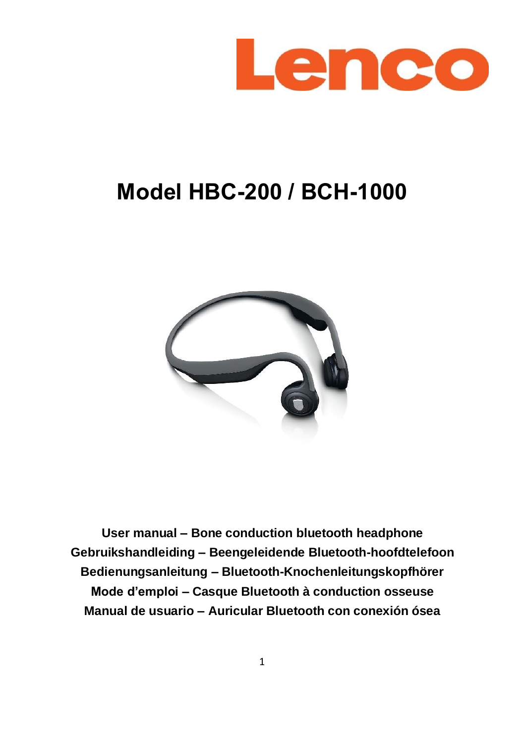

# **Model HBC-200 / BCH-1000**



**User manual – Bone conduction bluetooth headphone Gebruikshandleiding – Beengeleidende Bluetooth-hoofdtelefoon Bedienungsanleitung – Bluetooth-Knochenleitungskopfhörer Mode d'emploi – Casque Bluetooth à conduction osseuse Manual de usuario – Auricular Bluetooth con conexión ósea**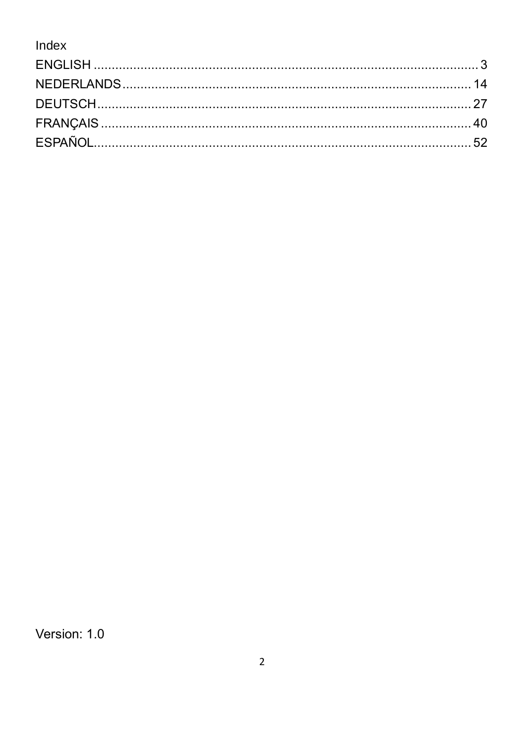### Index

Version: 1.0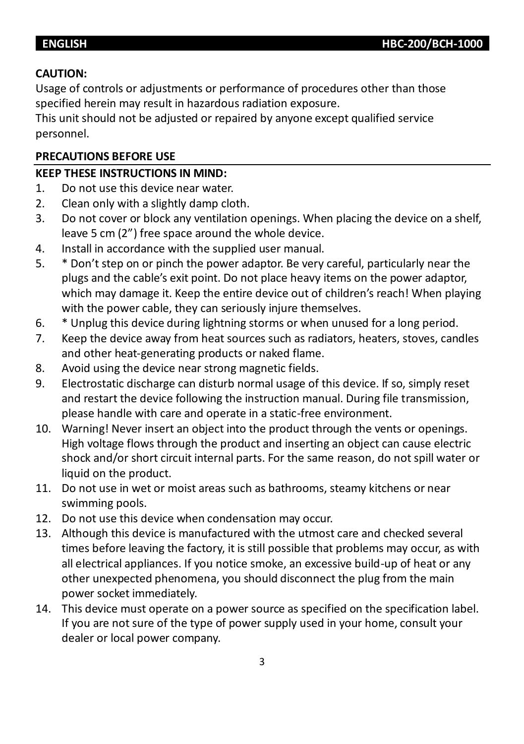#### <span id="page-2-0"></span>**CAUTION:**

Usage of controls or adjustments or performance of procedures other than those specified herein may result in hazardous radiation exposure.

This unit should not be adjusted or repaired by anyone except qualified service personnel.

#### **PRECAUTIONS BEFORE USE**

#### **KEEP THESE INSTRUCTIONS IN MIND:**

- 1. Do not use this device near water.
- 2. Clean only with a slightly damp cloth.
- 3. Do not cover or block any ventilation openings. When placing the device on a shelf, leave 5 cm (2") free space around the whole device.
- 4. Install in accordance with the supplied user manual.
- 5. \* Don't step on or pinch the power adaptor. Be very careful, particularly near the plugs and the cable's exit point. Do not place heavy items on the power adaptor, which may damage it. Keep the entire device out of children's reach! When playing with the power cable, they can seriously injure themselves.
- 6. \* Unplug this device during lightning storms or when unused for a long period.
- 7. Keep the device away from heat sources such as radiators, heaters, stoves, candles and other heat-generating products or naked flame.
- 8. Avoid using the device near strong magnetic fields.
- 9. Electrostatic discharge can disturb normal usage of this device. If so, simply reset and restart the device following the instruction manual. During file transmission, please handle with care and operate in a static-free environment.
- 10. Warning! Never insert an object into the product through the vents or openings. High voltage flows through the product and inserting an object can cause electric shock and/or short circuit internal parts. For the same reason, do not spill water or liquid on the product.
- 11. Do not use in wet or moist areas such as bathrooms, steamy kitchens or near swimming pools.
- 12. Do not use this device when condensation may occur.
- 13. Although this device is manufactured with the utmost care and checked several times before leaving the factory, it is still possible that problems may occur, as with all electrical appliances. If you notice smoke, an excessive build-up of heat or any other unexpected phenomena, you should disconnect the plug from the main power socket immediately.
- 14. This device must operate on a power source as specified on the specification label. If you are not sure of the type of power supply used in your home, consult your dealer or local power company.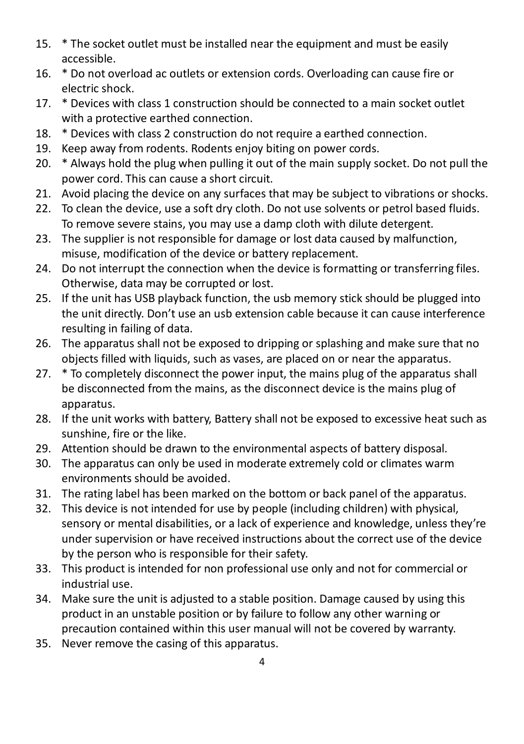- 15. \* The socket outlet must be installed near the equipment and must be easily accessible.
- 16. \* Do not overload ac outlets or extension cords. Overloading can cause fire or electric shock.
- 17. \* Devices with class 1 construction should be connected to a main socket outlet with a protective earthed connection.
- 18. \* Devices with class 2 construction do not require a earthed connection.
- 19. Keep away from rodents. Rodents enjoy biting on power cords.
- 20. \* Always hold the plug when pulling it out of the main supply socket. Do not pull the power cord. This can cause a short circuit.
- 21. Avoid placing the device on any surfaces that may be subject to vibrations or shocks.
- 22. To clean the device, use a soft dry cloth. Do not use solvents or petrol based fluids. To remove severe stains, you may use a damp cloth with dilute detergent.
- 23. The supplier is not responsible for damage or lost data caused by malfunction, misuse, modification of the device or battery replacement.
- 24. Do not interrupt the connection when the device is formatting or transferring files. Otherwise, data may be corrupted or lost.
- 25. If the unit has USB playback function, the usb memory stick should be plugged into the unit directly. Don't use an usb extension cable because it can cause interference resulting in failing of data.
- 26. The apparatus shall not be exposed to dripping or splashing and make sure that no objects filled with liquids, such as vases, are placed on or near the apparatus.
- 27. \* To completely disconnect the power input, the mains plug of the apparatus shall be disconnected from the mains, as the disconnect device is the mains plug of apparatus.
- 28. If the unit works with battery, Battery shall not be exposed to excessive heat such as sunshine, fire or the like.
- 29. Attention should be drawn to the environmental aspects of battery disposal.
- 30. The apparatus can only be used in moderate extremely cold or climates warm environments should be avoided.
- 31. The rating label has been marked on the bottom or back panel of the apparatus.
- 32. This device is not intended for use by people (including children) with physical, sensory or mental disabilities, or a lack of experience and knowledge, unless they're under supervision or have received instructions about the correct use of the device by the person who is responsible for their safety.
- 33. This product is intended for non professional use only and not for commercial or industrial use.
- 34. Make sure the unit is adjusted to a stable position. Damage caused by using this product in an unstable position or by failure to follow any other warning or precaution contained within this user manual will not be covered by warranty.
- 35. Never remove the casing of this apparatus.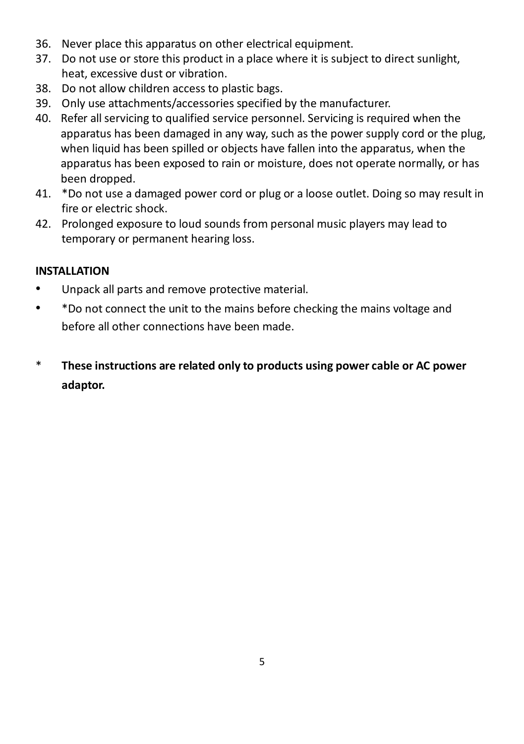- 36. Never place this apparatus on other electrical equipment.
- 37. Do not use or store this product in a place where it is subject to direct sunlight, heat, excessive dust or vibration.
- 38. Do not allow children access to plastic bags.
- 39. Only use attachments/accessories specified by the manufacturer.
- 40. Refer all servicing to qualified service personnel. Servicing is required when the apparatus has been damaged in any way, such as the power supply cord or the plug, when liquid has been spilled or objects have fallen into the apparatus, when the apparatus has been exposed to rain or moisture, does not operate normally, or has been dropped.
- 41. \*Do not use a damaged power cord or plug or a loose outlet. Doing so may result in fire or electric shock.
- 42. Prolonged exposure to loud sounds from personal music players may lead to temporary or permanent hearing loss.

#### **INSTALLATION**

- Unpack all parts and remove protective material.
- \*Do not connect the unit to the mains before checking the mains voltage and before all other connections have been made.
- \* **These instructions are related only to products using power cable or AC power adaptor.**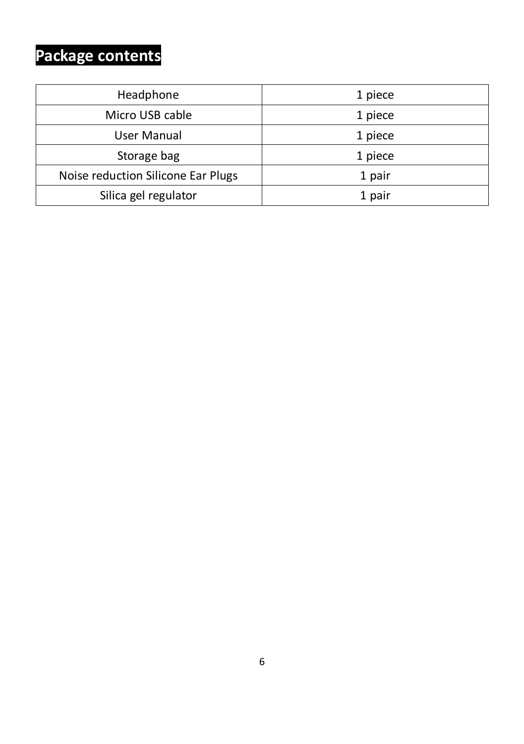# **Package contents**

| Headphone                          | 1 piece |
|------------------------------------|---------|
| Micro USB cable                    | 1 piece |
| User Manual                        | 1 piece |
| Storage bag                        | 1 piece |
| Noise reduction Silicone Ear Plugs | 1 pair  |
| Silica gel regulator               | 1 pair  |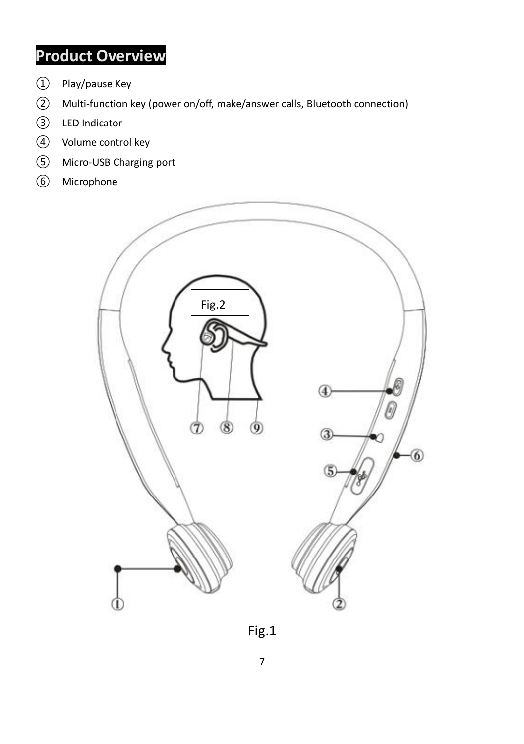## **Product Overview**

- Play/pause Key
- Multi-function key (power on/off, make/answer calls, Bluetooth connection)
- LED Indicator
- Volume control key
- Micro-USB Charging port
- Microphone



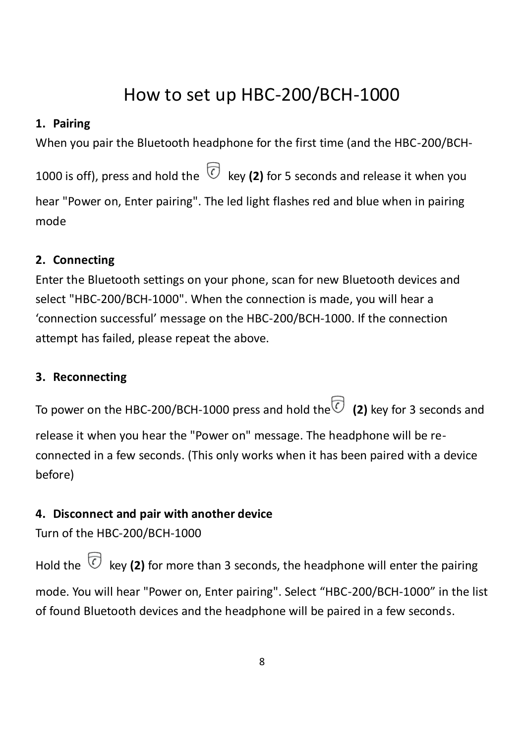### How to set up HBC-200/BCH-1000

#### **1. Pairing**

When you pair the Bluetooth headphone for the first time (and the HBC-200/BCH-1000 is off), press and hold the  $\Theta$  key (2) for 5 seconds and release it when you hear "Power on, Enter pairing". The led light flashes red and blue when in pairing mode

#### **2. Connecting**

Enter the Bluetooth settings on your phone, scan for new Bluetooth devices and select "HBC-200/BCH-1000". When the connection is made, you will hear a 'connection successful' message on the HBC-200/BCH-1000. If the connection attempt has failed, please repeat the above.

### **3. Reconnecting**

To power on the HBC-200/BCH-1000 press and hold the **(2)** key for 3 seconds and release it when you hear the "Power on" message. The headphone will be reconnected in a few seconds. (This only works when it has been paired with a device before)

### **4. Disconnect and pair with another device**

Turn of the HBC-200/BCH-1000

Hold the  $\overline{\mathbb{C}}$  key (2) for more than 3 seconds, the headphone will enter the pairing mode. You will hear "Power on, Enter pairing". Select "HBC-200/BCH-1000" in the list of found Bluetooth devices and the headphone will be paired in a few seconds.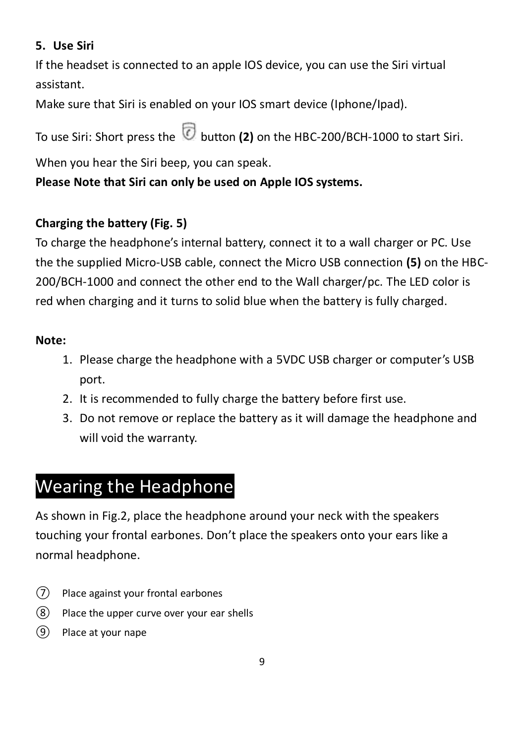### **5. Use Siri**

If the headset is connected to an apple IOS device, you can use the Siri virtual assistant.

Make sure that Siri is enabled on your IOS smart device (Iphone/Ipad).

To use Siri: Short press the button **(2)** on the HBC-200/BCH-1000 to start Siri.

When you hear the Siri beep, you can speak.

### **Please Note that Siri can only be used on Apple IOS systems.**

### **Charging the battery (Fig. 5)**

To charge the headphone's internal battery, connect it to a wall charger or PC. Use the the supplied Micro-USB cable, connect the Micro USB connection **(5)** on the HBC-200/BCH-1000 and connect the other end to the Wall charger/pc. The LED color is red when charging and it turns to solid blue when the battery is fully charged.

### **Note:**

- 1. Please charge the headphone with a 5VDC USB charger or computer's USB port.
- 2. It is recommended to fully charge the battery before first use.
- 3. Do not remove or replace the battery as it will damage the headphone and will void the warranty.

# Wearing the Headphone

As shown in Fig.2, place the headphone around your neck with the speakers touching your frontal earbones. Don't place the speakers onto your ears like a normal headphone.

- ⑦ Place against your frontal earbones
- ⑧ Place the upper curve over your ear shells
- ⑨ Place at your nape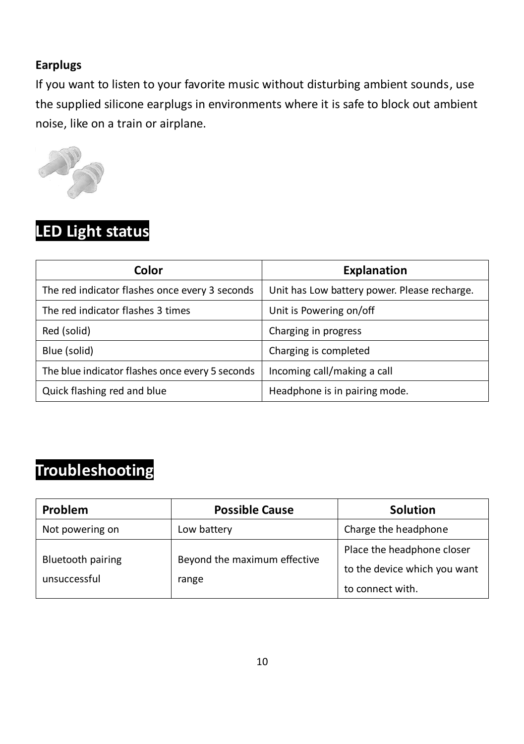### **Earplugs**

If you want to listen to your favorite music without disturbing ambient sounds, use the supplied silicone earplugs in environments where it is safe to block out ambient noise, like on a train or airplane.



## **LED Light status**

| Color                                           | <b>Explanation</b>                           |
|-------------------------------------------------|----------------------------------------------|
| The red indicator flashes once every 3 seconds  | Unit has Low battery power. Please recharge. |
| The red indicator flashes 3 times               | Unit is Powering on/off                      |
| Red (solid)                                     | Charging in progress                         |
| Blue (solid)                                    | Charging is completed                        |
| The blue indicator flashes once every 5 seconds | Incoming call/making a call                  |
| Quick flashing red and blue                     | Headphone is in pairing mode.                |

### **Troubleshooting**

| <b>Problem</b>    | <b>Possible Cause</b>        | <b>Solution</b>              |
|-------------------|------------------------------|------------------------------|
| Not powering on   | Low battery                  | Charge the headphone         |
| Bluetooth pairing | Beyond the maximum effective | Place the headphone closer   |
| unsuccessful      | range                        | to the device which you want |
|                   |                              | to connect with.             |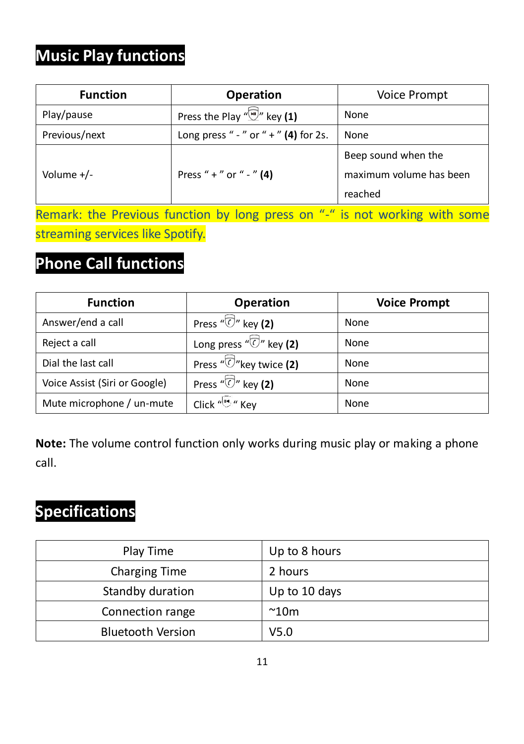## **Music Play functions**

| <b>Function</b> | <b>Operation</b>                                                            | <b>Voice Prompt</b>                                       |
|-----------------|-----------------------------------------------------------------------------|-----------------------------------------------------------|
| Play/pause      | Press the Play " $\mathbb{Z}$ " key (1)                                     | None                                                      |
| Previous/next   | Long press " - " or " + " (4) for 2s.                                       | None                                                      |
| Volume $+/-$    | Press " + " or " - " (4)                                                    | Beep sound when the<br>maximum volume has been<br>reached |
|                 | Remark: the Previous function by long press on "-" is not working with some |                                                           |

streaming services like Spotify.

### **Phone Call functions**

| <b>Function</b>               | <b>Operation</b>                               | <b>Voice Prompt</b> |
|-------------------------------|------------------------------------------------|---------------------|
| Answer/end a call             | Press " $\nabla$ " key (2)                     | None                |
| Reject a call                 | Long press " $\overline{\mathbb{C}}$ " key (2) | None                |
| Dial the last call            | Press "O"key twice (2)                         | None                |
| Voice Assist (Siri or Google) | Press " $\overline{\mathbb{C}}$ " key (2)      | None                |
| Mute microphone / un-mute     | Click "Rev                                     | None                |

**Note:** The volume control function only works during music play or making a phone call.

### **Specifications**

| Play Time                | Up to 8 hours |
|--------------------------|---------------|
| <b>Charging Time</b>     | 2 hours       |
| Standby duration         | Up to 10 days |
| Connection range         | $^{\sim}$ 10m |
| <b>Bluetooth Version</b> | V5.0          |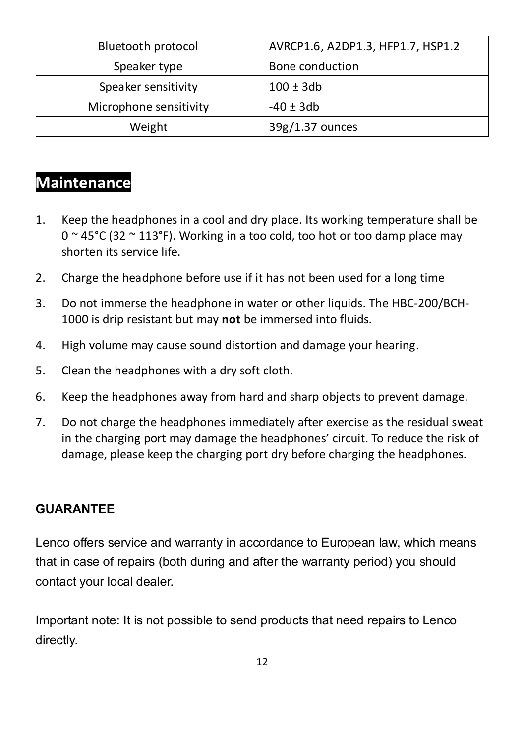| Bluetooth protocol     | AVRCP1.6, A2DP1.3, HFP1.7, HSP1.2 |
|------------------------|-----------------------------------|
| Speaker type           | Bone conduction                   |
| Speaker sensitivity    | $100 \pm 3$ db                    |
| Microphone sensitivity | $-40 \pm 3$ db                    |
| Weight                 | $39g/1.37$ ounces                 |

### **Maintenance**

- 1. Keep the headphones in a cool and dry place. Its working temperature shall be  $0 \sim 45^{\circ}$ C (32  $\sim$  113 $^{\circ}$ F). Working in a too cold, too hot or too damp place may shorten its service life.
- 2. Charge the headphone before use if it has not been used for a long time
- 3. Do not immerse the headphone in water or other liquids. The HBC-200/BCH-1000 is drip resistant but may **not** be immersed into fluids.
- 4. High volume may cause sound distortion and damage your hearing.
- 5. Clean the headphones with a dry soft cloth.
- 6. Keep the headphones away from hard and sharp objects to prevent damage.
- 7. Do not charge the headphones immediately after exercise as the residual sweat in the charging port may damage the headphones' circuit. To reduce the risk of damage, please keep the charging port dry before charging the headphones.

### **GUARANTEE**

Lenco offers service and warranty in accordance to European law, which means that in case of repairs (both during and after the warranty period) you should contact your local dealer.

Important note: It is not possible to send products that need repairs to Lenco directly.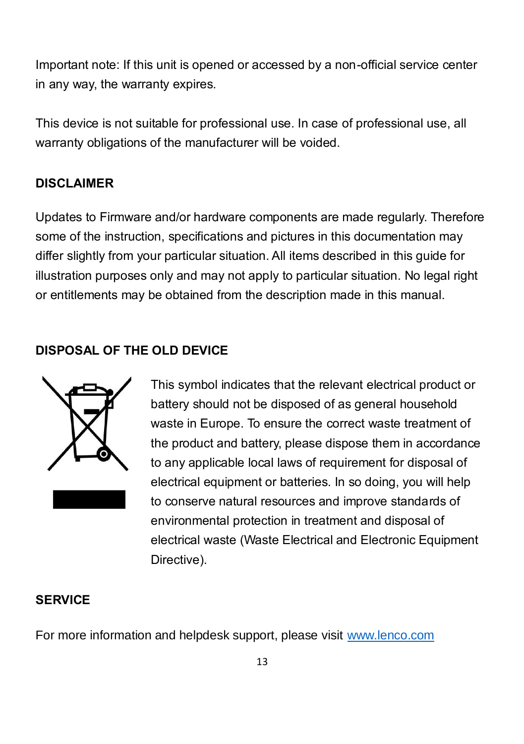Important note: If this unit is opened or accessed by a non-official service center in any way, the warranty expires.

This device is not suitable for professional use. In case of professional use, all warranty obligations of the manufacturer will be voided.

### **DISCLAIMER**

Updates to Firmware and/or hardware components are made regularly. Therefore some of the instruction, specifications and pictures in this documentation may differ slightly from your particular situation. All items described in this guide for illustration purposes only and may not apply to particular situation. No legal right or entitlements may be obtained from the description made in this manual.

### **DISPOSAL OF THE OLD DEVICE**



This symbol indicates that the relevant electrical product or battery should not be disposed of as general household waste in Europe. To ensure the correct waste treatment of the product and battery, please dispose them in accordance to any applicable local laws of requirement for disposal of electrical equipment or batteries. In so doing, you will help to conserve natural resources and improve standards of environmental protection in treatment and disposal of electrical waste (Waste Electrical and Electronic Equipment Directive).

### **SERVICE**

For more information and helpdesk support, please visit [www.lenco.com](http://www.lenco.com/)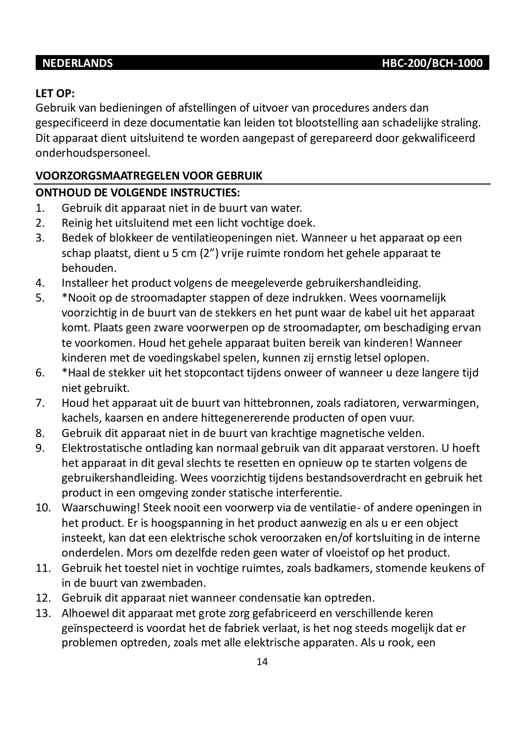#### <span id="page-13-0"></span>**LET OP:**

Gebruik van bedieningen of afstellingen of uitvoer van procedures anders dan gespecificeerd in deze documentatie kan leiden tot blootstelling aan schadelijke straling. Dit apparaat dient uitsluitend te worden aangepast of gerepareerd door gekwalificeerd onderhoudspersoneel.

#### **VOORZORGSMAATREGELEN VOOR GEBRUIK**

#### **ONTHOUD DE VOLGENDE INSTRUCTIES:**

- 1. Gebruik dit apparaat niet in de buurt van water.
- 2. Reinig het uitsluitend met een licht vochtige doek.
- 3. Bedek of blokkeer de ventilatieopeningen niet. Wanneer u het apparaat op een schap plaatst, dient u 5 cm (2") vrije ruimte rondom het gehele apparaat te behouden.
- 4. Installeer het product volgens de meegeleverde gebruikershandleiding.
- 5. \*Nooit op de stroomadapter stappen of deze indrukken. Wees voornamelijk voorzichtig in de buurt van de stekkers en het punt waar de kabel uit het apparaat komt. Plaats geen zware voorwerpen op de stroomadapter, om beschadiging ervan te voorkomen. Houd het gehele apparaat buiten bereik van kinderen! Wanneer kinderen met de voedingskabel spelen, kunnen zij ernstig letsel oplopen.
- 6. \*Haal de stekker uit het stopcontact tijdens onweer of wanneer u deze langere tijd niet gebruikt.
- 7. Houd het apparaat uit de buurt van hittebronnen, zoals radiatoren, verwarmingen, kachels, kaarsen en andere hittegenererende producten of open vuur.
- 8. Gebruik dit apparaat niet in de buurt van krachtige magnetische velden.
- 9. Elektrostatische ontlading kan normaal gebruik van dit apparaat verstoren. U hoeft het apparaat in dit geval slechts te resetten en opnieuw op te starten volgens de gebruikershandleiding. Wees voorzichtig tijdens bestandsoverdracht en gebruik het product in een omgeving zonder statische interferentie.
- 10. Waarschuwing! Steek nooit een voorwerp via de ventilatie- of andere openingen in het product. Er is hoogspanning in het product aanwezig en als u er een object insteekt, kan dat een elektrische schok veroorzaken en/of kortsluiting in de interne onderdelen. Mors om dezelfde reden geen water of vloeistof op het product.
- 11. Gebruik het toestel niet in vochtige ruimtes, zoals badkamers, stomende keukens of in de buurt van zwembaden.
- 12. Gebruik dit apparaat niet wanneer condensatie kan optreden.
- 13. Alhoewel dit apparaat met grote zorg gefabriceerd en verschillende keren geïnspecteerd is voordat het de fabriek verlaat, is het nog steeds mogelijk dat er problemen optreden, zoals met alle elektrische apparaten. Als u rook, een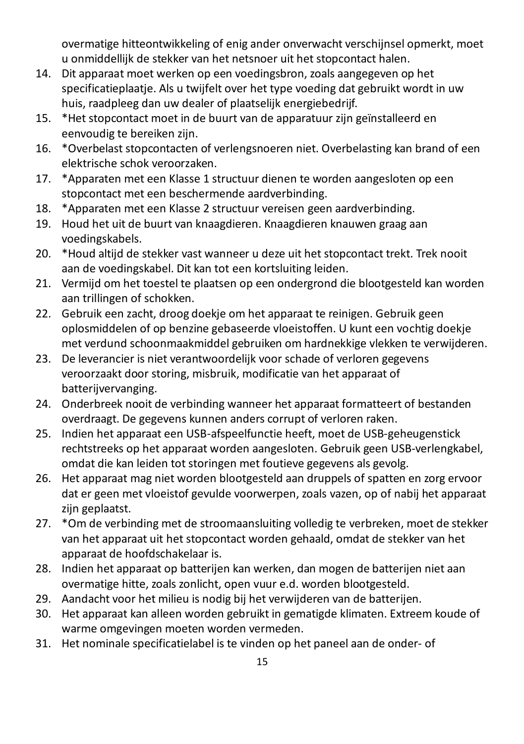overmatige hitteontwikkeling of enig ander onverwacht verschijnsel opmerkt, moet u onmiddellijk de stekker van het netsnoer uit het stopcontact halen.

- 14. Dit apparaat moet werken op een voedingsbron, zoals aangegeven op het specificatieplaatje. Als u twijfelt over het type voeding dat gebruikt wordt in uw huis, raadpleeg dan uw dealer of plaatselijk energiebedrijf.
- 15. \*Het stopcontact moet in de buurt van de apparatuur zijn geïnstalleerd en eenvoudig te bereiken zijn.
- 16. \*Overbelast stopcontacten of verlengsnoeren niet. Overbelasting kan brand of een elektrische schok veroorzaken.
- 17. \*Apparaten met een Klasse 1 structuur dienen te worden aangesloten op een stopcontact met een beschermende aardverbinding.
- 18. \*Apparaten met een Klasse 2 structuur vereisen geen aardverbinding.
- 19. Houd het uit de buurt van knaagdieren. Knaagdieren knauwen graag aan voedingskabels.
- 20. \*Houd altijd de stekker vast wanneer u deze uit het stopcontact trekt. Trek nooit aan de voedingskabel. Dit kan tot een kortsluiting leiden.
- 21. Vermijd om het toestel te plaatsen op een ondergrond die blootgesteld kan worden aan trillingen of schokken.
- 22. Gebruik een zacht, droog doekje om het apparaat te reinigen. Gebruik geen oplosmiddelen of op benzine gebaseerde vloeistoffen. U kunt een vochtig doekje met verdund schoonmaakmiddel gebruiken om hardnekkige vlekken te verwijderen.
- 23. De leverancier is niet verantwoordelijk voor schade of verloren gegevens veroorzaakt door storing, misbruik, modificatie van het apparaat of batterijvervanging.
- 24. Onderbreek nooit de verbinding wanneer het apparaat formatteert of bestanden overdraagt. De gegevens kunnen anders corrupt of verloren raken.
- 25. Indien het apparaat een USB-afspeelfunctie heeft, moet de USB-geheugenstick rechtstreeks op het apparaat worden aangesloten. Gebruik geen USB-verlengkabel, omdat die kan leiden tot storingen met foutieve gegevens als gevolg.
- 26. Het apparaat mag niet worden blootgesteld aan druppels of spatten en zorg ervoor dat er geen met vloeistof gevulde voorwerpen, zoals vazen, op of nabij het apparaat zijn geplaatst.
- 27. \*Om de verbinding met de stroomaansluiting volledig te verbreken, moet de stekker van het apparaat uit het stopcontact worden gehaald, omdat de stekker van het apparaat de hoofdschakelaar is.
- 28. Indien het apparaat op batterijen kan werken, dan mogen de batterijen niet aan overmatige hitte, zoals zonlicht, open vuur e.d. worden blootgesteld.
- 29. Aandacht voor het milieu is nodig bij het verwijderen van de batterijen.
- 30. Het apparaat kan alleen worden gebruikt in gematigde klimaten. Extreem koude of warme omgevingen moeten worden vermeden.
- 31. Het nominale specificatielabel is te vinden op het paneel aan de onder- of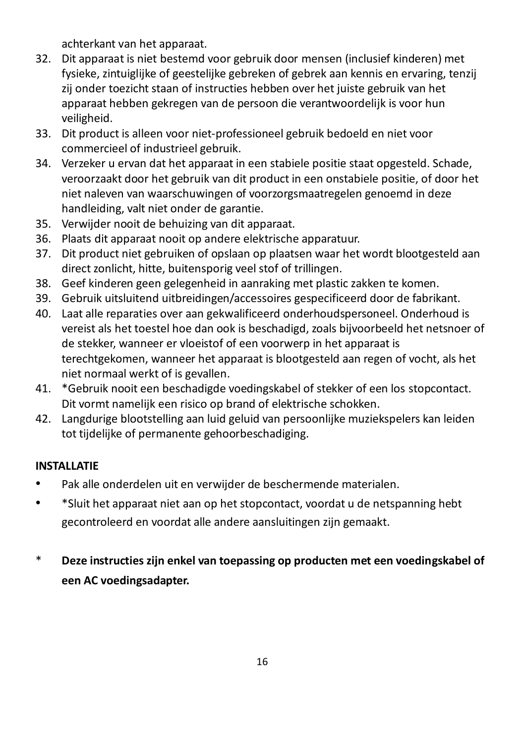achterkant van het apparaat.

- 32. Dit apparaat is niet bestemd voor gebruik door mensen (inclusief kinderen) met fysieke, zintuiglijke of geestelijke gebreken of gebrek aan kennis en ervaring, tenzij zij onder toezicht staan of instructies hebben over het juiste gebruik van het apparaat hebben gekregen van de persoon die verantwoordelijk is voor hun veiligheid.
- 33. Dit product is alleen voor niet-professioneel gebruik bedoeld en niet voor commercieel of industrieel gebruik.
- 34. Verzeker u ervan dat het apparaat in een stabiele positie staat opgesteld. Schade, veroorzaakt door het gebruik van dit product in een onstabiele positie, of door het niet naleven van waarschuwingen of voorzorgsmaatregelen genoemd in deze handleiding, valt niet onder de garantie.
- 35. Verwijder nooit de behuizing van dit apparaat.
- 36. Plaats dit apparaat nooit op andere elektrische apparatuur.
- 37. Dit product niet gebruiken of opslaan op plaatsen waar het wordt blootgesteld aan direct zonlicht, hitte, buitensporig veel stof of trillingen.
- 38. Geef kinderen geen gelegenheid in aanraking met plastic zakken te komen.
- 39. Gebruik uitsluitend uitbreidingen/accessoires gespecificeerd door de fabrikant.
- 40. Laat alle reparaties over aan gekwalificeerd onderhoudspersoneel. Onderhoud is vereist als het toestel hoe dan ook is beschadigd, zoals bijvoorbeeld het netsnoer of de stekker, wanneer er vloeistof of een voorwerp in het apparaat is terechtgekomen, wanneer het apparaat is blootgesteld aan regen of vocht, als het niet normaal werkt of is gevallen.
- 41. \*Gebruik nooit een beschadigde voedingskabel of stekker of een los stopcontact. Dit vormt namelijk een risico op brand of elektrische schokken.
- 42. Langdurige blootstelling aan luid geluid van persoonlijke muziekspelers kan leiden tot tijdelijke of permanente gehoorbeschadiging.

### **INSTALLATIE**

- Pak alle onderdelen uit en verwijder de beschermende materialen.
- \*Sluit het apparaat niet aan op het stopcontact, voordat u de netspanning hebt gecontroleerd en voordat alle andere aansluitingen zijn gemaakt.
- \* **Deze instructies zijn enkel van toepassing op producten met een voedingskabel of een AC voedingsadapter.**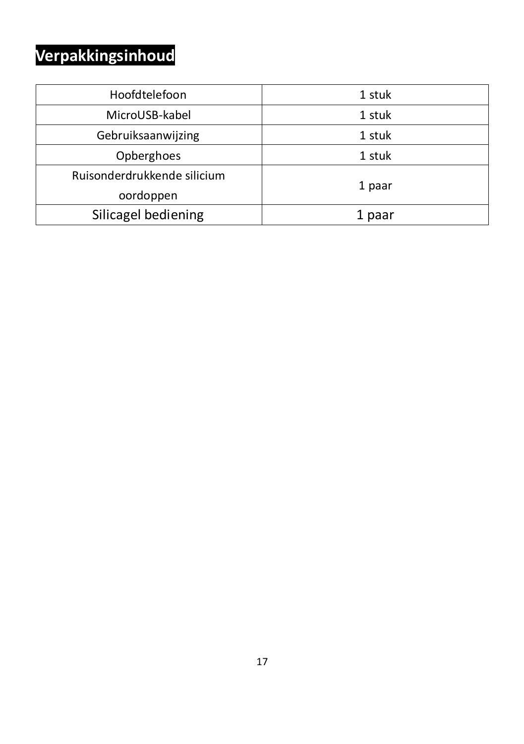# **Verpakkingsinhoud**

| Hoofdtelefoon                            | 1 stuk |
|------------------------------------------|--------|
| MicroUSB-kabel                           | 1 stuk |
| Gebruiksaanwijzing                       | 1 stuk |
| Opberghoes                               | 1 stuk |
| Ruisonderdrukkende silicium<br>oordoppen | 1 paar |
| Silicagel bediening                      | 1 paar |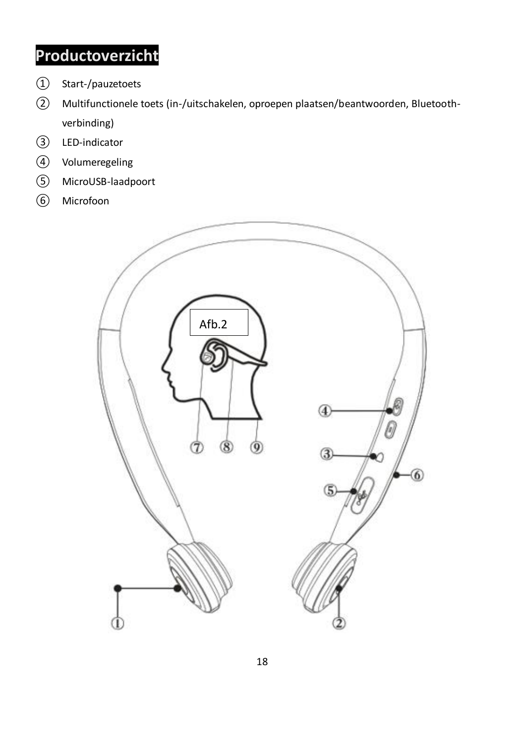### **Productoverzicht**

- Start-/pauzetoets
- Multifunctionele toets (in-/uitschakelen, oproepen plaatsen/beantwoorden, Bluetoothverbinding)
- LED-indicator
- Volumeregeling
- MicroUSB-laadpoort
- Microfoon

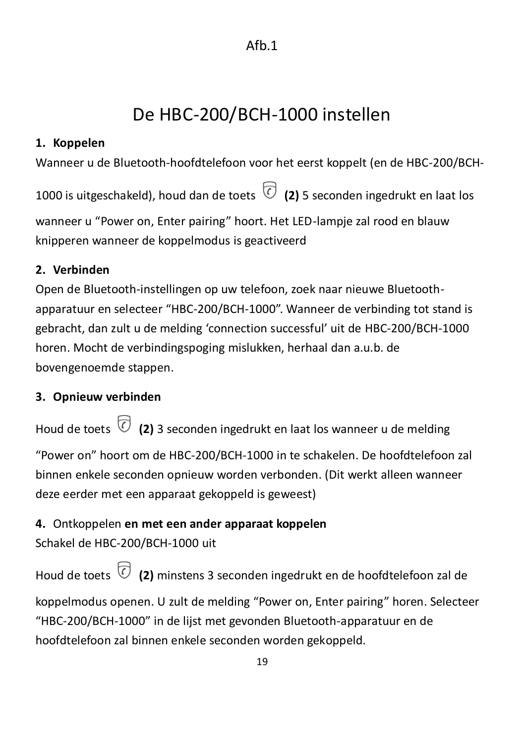### $Afh$  1

## De HBC-200/BCH-1000 instellen

### **1. Koppelen**

Wanneer u de Bluetooth-hoofdtelefoon voor het eerst koppelt (en de HBC-200/BCH-

1000 is uitgeschakeld), houd dan de toets **(2)** 5 seconden ingedrukt en laat los wanneer u "Power on, Enter pairing" hoort. Het LED-lampje zal rood en blauw knipperen wanneer de koppelmodus is geactiveerd

### **2. Verbinden**

Open de Bluetooth-instellingen op uw telefoon, zoek naar nieuwe Bluetoothapparatuur en selecteer "HBC-200/BCH-1000". Wanneer de verbinding tot stand is gebracht, dan zult u de melding 'connection successful' uit de HBC-200/BCH-1000 horen. Mocht de verbindingspoging mislukken, herhaal dan a.u.b. de bovengenoemde stappen.

### **3. Opnieuw verbinden**

Houd de toets **(2)** 3 seconden ingedrukt en laat los wanneer u de melding "Power on" hoort om de HBC-200/BCH-1000 in te schakelen. De hoofdtelefoon zal binnen enkele seconden opnieuw worden verbonden. (Dit werkt alleen wanneer deze eerder met een apparaat gekoppeld is geweest)

### **4.** Ontkoppelen **en met een ander apparaat koppelen** Schakel de HBC-200/BCH-1000 uit

Houd de toets **(2)** minstens 3 seconden ingedrukt en de hoofdtelefoon zal de koppelmodus openen. U zult de melding "Power on, Enter pairing" horen. Selecteer "HBC-200/BCH-1000" in de lijst met gevonden Bluetooth-apparatuur en de hoofdtelefoon zal binnen enkele seconden worden gekoppeld.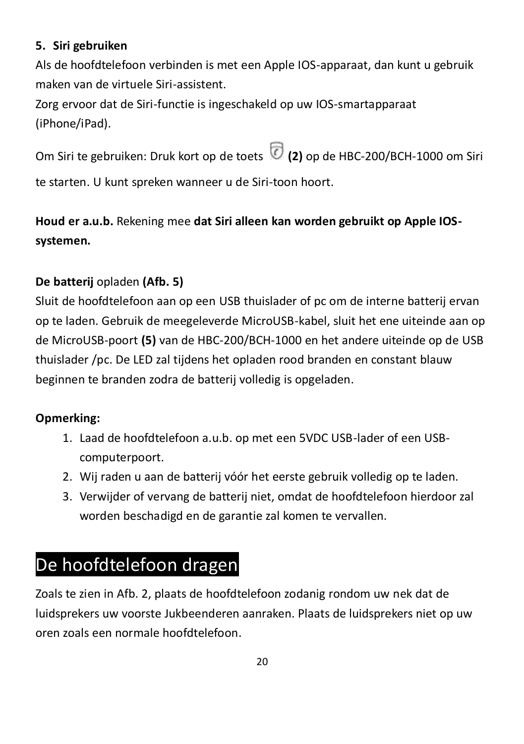### **5. Siri gebruiken**

Als de hoofdtelefoon verbinden is met een Apple IOS-apparaat, dan kunt u gebruik maken van de virtuele Siri-assistent.

Zorg ervoor dat de Siri-functie is ingeschakeld op uw IOS-smartapparaat (iPhone/iPad).

Om Siri te gebruiken: Druk kort op de toets **(2)** op de HBC-200/BCH-1000 om Siri

te starten. U kunt spreken wanneer u de Siri-toon hoort.

**Houd er a.u.b.** Rekening mee **dat Siri alleen kan worden gebruikt op Apple IOSsystemen.**

### **De batterij** opladen **(Afb. 5)**

Sluit de hoofdtelefoon aan op een USB thuislader of pc om de interne batterij ervan op te laden. Gebruik de meegeleverde MicroUSB-kabel, sluit het ene uiteinde aan op de MicroUSB-poort **(5)** van de HBC-200/BCH-1000 en het andere uiteinde op de USB thuislader /pc. De LED zal tijdens het opladen rood branden en constant blauw beginnen te branden zodra de batterij volledig is opgeladen.

### **Opmerking:**

- 1. Laad de hoofdtelefoon a.u.b. op met een 5VDC USB-lader of een USBcomputerpoort.
- 2. Wij raden u aan de batterij vóór het eerste gebruik volledig op te laden.
- 3. Verwijder of vervang de batterij niet, omdat de hoofdtelefoon hierdoor zal worden beschadigd en de garantie zal komen te vervallen.

## De hoofdtelefoon dragen

Zoals te zien in Afb. 2, plaats de hoofdtelefoon zodanig rondom uw nek dat de luidsprekers uw voorste Jukbeenderen aanraken. Plaats de luidsprekers niet op uw oren zoals een normale hoofdtelefoon.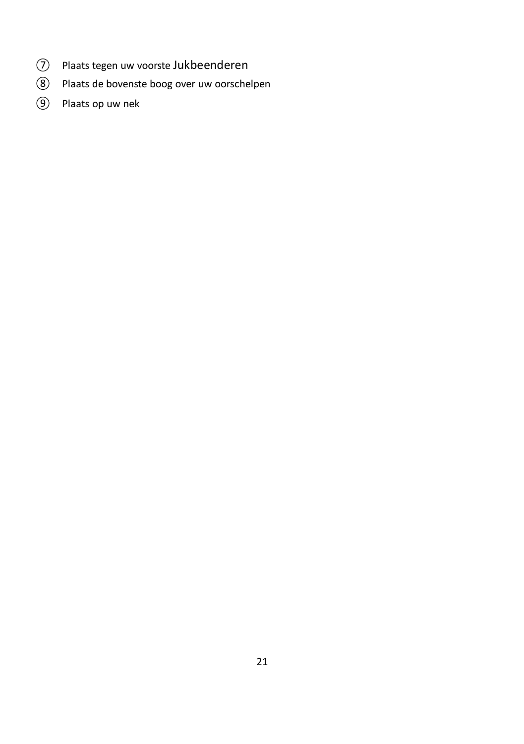- Plaats tegen uw voorste Jukbeenderen
- Plaats de bovenste boog over uw oorschelpen
- Plaats op uw nek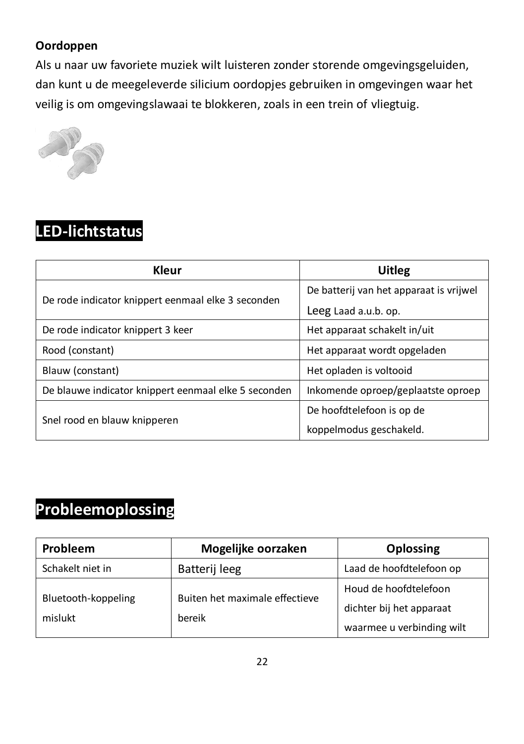### **Oordoppen**

Als u naar uw favoriete muziek wilt luisteren zonder storende omgevingsgeluiden, dan kunt u de meegeleverde silicium oordopjes gebruiken in omgevingen waar het veilig is om omgevingslawaai te blokkeren, zoals in een trein of vliegtuig.



## **LED-lichtstatus**

| Kleur                                                             | <b>Uitleg</b>                           |  |
|-------------------------------------------------------------------|-----------------------------------------|--|
| De rode indicator knippert eenmaal elke 3 seconden                | De batterij van het apparaat is vrijwel |  |
|                                                                   | Leeg Laad a.u.b. op.                    |  |
| Het apparaat schakelt in/uit<br>De rode indicator knippert 3 keer |                                         |  |
| Rood (constant)                                                   | Het apparaat wordt opgeladen            |  |
| Blauw (constant)                                                  | Het opladen is voltooid                 |  |
| De blauwe indicator knippert eenmaal elke 5 seconden              | Inkomende oproep/geplaatste oproep      |  |
| De hoofdtelefoon is op de                                         |                                         |  |
| Snel rood en blauw knipperen                                      | koppelmodus geschakeld.                 |  |

### **Probleemoplossing**

| Probleem            | Mogelijke oorzaken             | Oplossing                 |
|---------------------|--------------------------------|---------------------------|
| Schakelt niet in    | Batterij leeg                  | Laad de hoofdtelefoon op  |
| Bluetooth-koppeling | Buiten het maximale effectieve | Houd de hoofdtelefoon     |
| mislukt             | bereik                         | dichter bij het apparaat  |
|                     |                                | waarmee u verbinding wilt |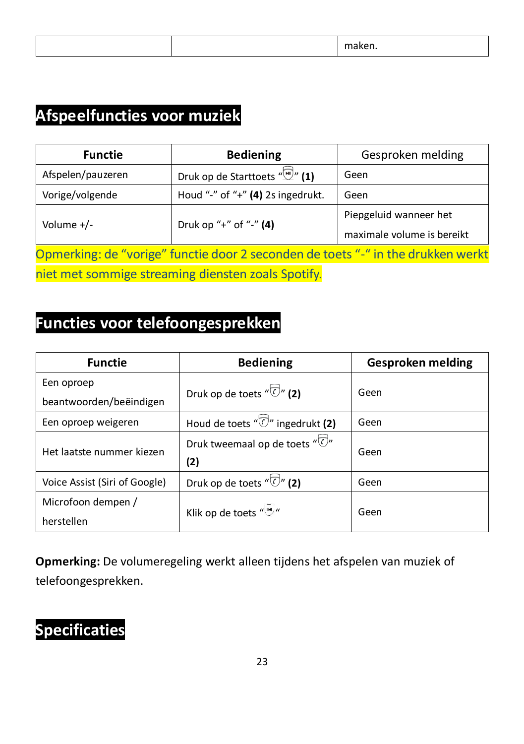| .<br>$\sim$ $\sim$ $\sim$ $\sim$ $\sim$ |  |
|-----------------------------------------|--|
|-----------------------------------------|--|

# **Afspeelfuncties voor muziek**

| <b>Functie</b>                                                                   | <b>Bediening</b>                    | Gesproken melding          |
|----------------------------------------------------------------------------------|-------------------------------------|----------------------------|
| Afspelen/pauzeren                                                                | Druk op de Starttoets "[3]" (1)     | Geen                       |
| Vorige/volgende                                                                  | Houd "-" of "+" $(4)$ 2s ingedrukt. | Geen                       |
| Volume $+/-$                                                                     |                                     | Piepgeluid wanneer het     |
|                                                                                  | Druk op "+" of "-" $(4)$            | maximale volume is bereikt |
| Opmerking: de "vorige" functie door 2 seconden de toets "-" in the drukken werkt |                                     |                            |
| niet met sommige streaming diensten zoals Spotify.                               |                                     |                            |

## **Functies voor telefoongesprekken**

| <b>Functie</b>                | <b>Bediening</b>                                        | <b>Gesproken melding</b> |  |
|-------------------------------|---------------------------------------------------------|--------------------------|--|
| Een oproep                    |                                                         |                          |  |
| beantwoorden/beëindigen       | Druk op de toets "U" (2)                                | Geen                     |  |
| Een oproep weigeren           | Houd de toets " $\overline{\mathbb{C}}$ " ingedrukt (2) | Geen                     |  |
| Het laatste nummer kiezen     | Druk tweemaal op de toets "                             | Geen                     |  |
|                               | (2)                                                     |                          |  |
| Voice Assist (Siri of Google) | Druk op de toets "U" (2)                                | Geen                     |  |
| Microfoon dempen /            | Klik op de toets "I                                     | Geen                     |  |
| herstellen                    |                                                         |                          |  |

**Opmerking:** De volumeregeling werkt alleen tijdens het afspelen van muziek of telefoongesprekken.

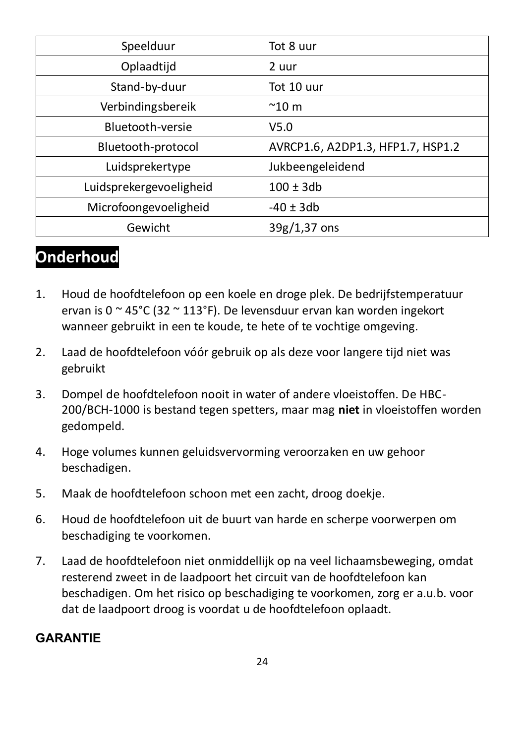| Speelduur               | Tot 8 uur                         |
|-------------------------|-----------------------------------|
| Oplaadtijd              | 2 uur                             |
| Stand-by-duur           | Tot 10 uur                        |
| Verbindingsbereik       | $^{\sim}$ 10 m                    |
| Bluetooth-versie        | V5.0                              |
| Bluetooth-protocol      | AVRCP1.6, A2DP1.3, HFP1.7, HSP1.2 |
| Luidsprekertype         | Jukbeengeleidend                  |
| Luidsprekergevoeligheid | $100 \pm 3$ db                    |
| Microfoongevoeligheid   | $-40 \pm 3$ db                    |
| Gewicht                 | 39g/1,37 ons                      |

### **Onderhoud**

- 1. Houd de hoofdtelefoon op een koele en droge plek. De bedrijfstemperatuur ervan is 0 ~ 45°C (32 ~ 113°F). De levensduur ervan kan worden ingekort wanneer gebruikt in een te koude, te hete of te vochtige omgeving.
- 2. Laad de hoofdtelefoon vóór gebruik op als deze voor langere tijd niet was gebruikt
- 3. Dompel de hoofdtelefoon nooit in water of andere vloeistoffen. De HBC-200/BCH-1000 is bestand tegen spetters, maar mag **niet** in vloeistoffen worden gedompeld.
- 4. Hoge volumes kunnen geluidsvervorming veroorzaken en uw gehoor beschadigen.
- 5. Maak de hoofdtelefoon schoon met een zacht, droog doekje.
- 6. Houd de hoofdtelefoon uit de buurt van harde en scherpe voorwerpen om beschadiging te voorkomen.
- 7. Laad de hoofdtelefoon niet onmiddellijk op na veel lichaamsbeweging, omdat resterend zweet in de laadpoort het circuit van de hoofdtelefoon kan beschadigen. Om het risico op beschadiging te voorkomen, zorg er a.u.b. voor dat de laadpoort droog is voordat u de hoofdtelefoon oplaadt.

### **GARANTIE**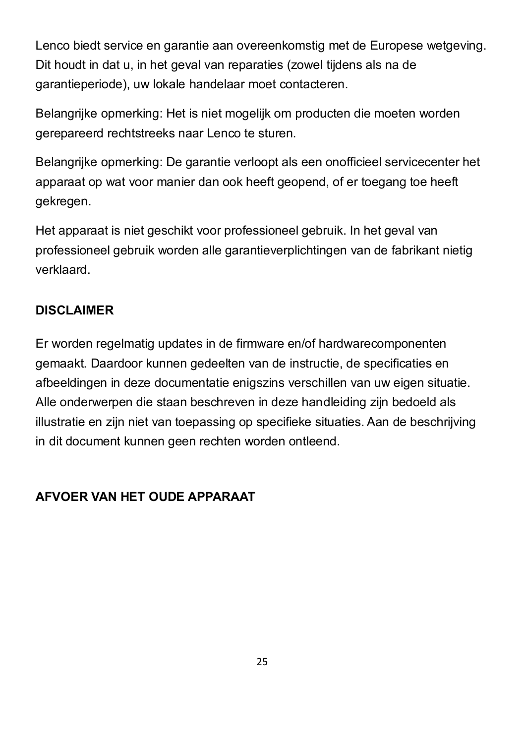Lenco biedt service en garantie aan overeenkomstig met de Europese wetgeving. Dit houdt in dat u, in het geval van reparaties (zowel tijdens als na de garantieperiode), uw lokale handelaar moet contacteren.

Belangrijke opmerking: Het is niet mogelijk om producten die moeten worden gerepareerd rechtstreeks naar Lenco te sturen.

Belangrijke opmerking: De garantie verloopt als een onofficieel servicecenter het apparaat op wat voor manier dan ook heeft geopend, of er toegang toe heeft gekregen.

Het apparaat is niet geschikt voor professioneel gebruik. In het geval van professioneel gebruik worden alle garantieverplichtingen van de fabrikant nietig verklaard.

### **DISCLAIMER**

Er worden regelmatig updates in de firmware en/of hardwarecomponenten gemaakt. Daardoor kunnen gedeelten van de instructie, de specificaties en afbeeldingen in deze documentatie enigszins verschillen van uw eigen situatie. Alle onderwerpen die staan beschreven in deze handleiding zijn bedoeld als illustratie en zijn niet van toepassing op specifieke situaties. Aan de beschrijving in dit document kunnen geen rechten worden ontleend.

### **AFVOER VAN HET OUDE APPARAAT**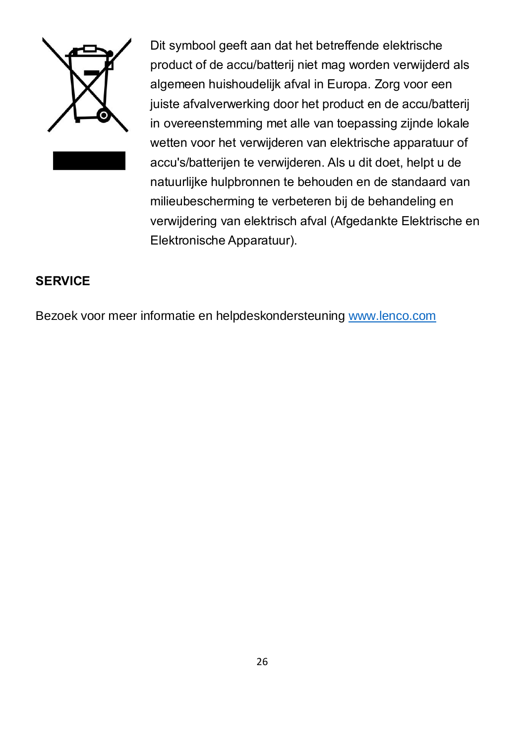

Dit symbool geeft aan dat het betreffende elektrische product of de accu/batterij niet mag worden verwijderd als algemeen huishoudelijk afval in Europa. Zorg voor een juiste afvalverwerking door het product en de accu/batterij in overeenstemming met alle van toepassing zijnde lokale wetten voor het verwijderen van elektrische apparatuur of accu's/batterijen te verwijderen. Als u dit doet, helpt u de natuurlijke hulpbronnen te behouden en de standaard van milieubescherming te verbeteren bij de behandeling en verwijdering van elektrisch afval (Afgedankte Elektrische en Elektronische Apparatuur).

### **SERVICE**

Bezoek voor meer informatie en helpdeskondersteuning [www.lenco.com](http://www.lenco.com/)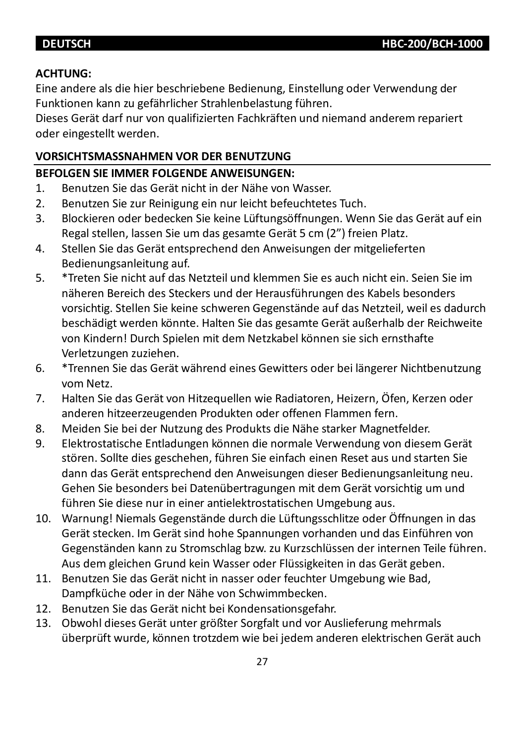#### <span id="page-26-0"></span>**ACHTUNG:**

Eine andere als die hier beschriebene Bedienung, Einstellung oder Verwendung der Funktionen kann zu gefährlicher Strahlenbelastung führen.

Dieses Gerät darf nur von qualifizierten Fachkräften und niemand anderem repariert oder eingestellt werden.

#### **VORSICHTSMASSNAHMEN VOR DER BENUTZUNG**

#### **BEFOLGEN SIE IMMER FOLGENDE ANWEISUNGEN:**

- 1. Benutzen Sie das Gerät nicht in der Nähe von Wasser.
- 2. Benutzen Sie zur Reinigung ein nur leicht befeuchtetes Tuch.
- 3. Blockieren oder bedecken Sie keine Lüftungsöffnungen. Wenn Sie das Gerät auf ein Regal stellen, lassen Sie um das gesamte Gerät 5 cm (2") freien Platz.
- 4. Stellen Sie das Gerät entsprechend den Anweisungen der mitgelieferten Bedienungsanleitung auf.
- 5. \*Treten Sie nicht auf das Netzteil und klemmen Sie es auch nicht ein. Seien Sie im näheren Bereich des Steckers und der Herausführungen des Kabels besonders vorsichtig. Stellen Sie keine schweren Gegenstände auf das Netzteil, weil es dadurch beschädigt werden könnte. Halten Sie das gesamte Gerät außerhalb der Reichweite von Kindern! Durch Spielen mit dem Netzkabel können sie sich ernsthafte Verletzungen zuziehen.
- 6. \*Trennen Sie das Gerät während eines Gewitters oder bei längerer Nichtbenutzung vom Netz.
- 7. Halten Sie das Gerät von Hitzequellen wie Radiatoren, Heizern, Öfen, Kerzen oder anderen hitzeerzeugenden Produkten oder offenen Flammen fern.
- 8. Meiden Sie bei der Nutzung des Produkts die Nähe starker Magnetfelder.
- 9. Elektrostatische Entladungen können die normale Verwendung von diesem Gerät stören. Sollte dies geschehen, führen Sie einfach einen Reset aus und starten Sie dann das Gerät entsprechend den Anweisungen dieser Bedienungsanleitung neu. Gehen Sie besonders bei Datenübertragungen mit dem Gerät vorsichtig um und führen Sie diese nur in einer antielektrostatischen Umgebung aus.
- 10. Warnung! Niemals Gegenstände durch die Lüftungsschlitze oder Öffnungen in das Gerät stecken. Im Gerät sind hohe Spannungen vorhanden und das Einführen von Gegenständen kann zu Stromschlag bzw. zu Kurzschlüssen der internen Teile führen. Aus dem gleichen Grund kein Wasser oder Flüssigkeiten in das Gerät geben.
- 11. Benutzen Sie das Gerät nicht in nasser oder feuchter Umgebung wie Bad, Dampfküche oder in der Nähe von Schwimmbecken.
- 12. Benutzen Sie das Gerät nicht bei Kondensationsgefahr.
- 13. Obwohl dieses Gerät unter größter Sorgfalt und vor Auslieferung mehrmals überprüft wurde, können trotzdem wie bei jedem anderen elektrischen Gerät auch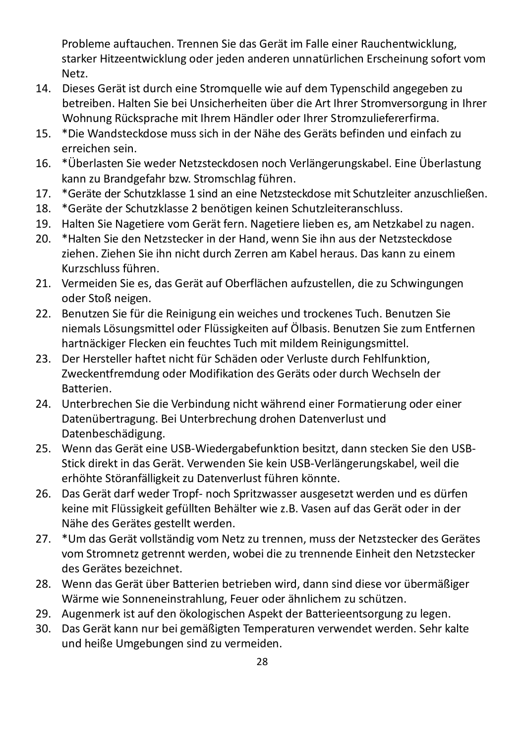Probleme auftauchen. Trennen Sie das Gerät im Falle einer Rauchentwicklung, starker Hitzeentwicklung oder jeden anderen unnatürlichen Erscheinung sofort vom Netz.

- 14. Dieses Gerät ist durch eine Stromquelle wie auf dem Typenschild angegeben zu betreiben. Halten Sie bei Unsicherheiten über die Art Ihrer Stromversorgung in Ihrer Wohnung Rücksprache mit Ihrem Händler oder Ihrer Stromzuliefererfirma.
- 15. \*Die Wandsteckdose muss sich in der Nähe des Geräts befinden und einfach zu erreichen sein.
- 16. \*Überlasten Sie weder Netzsteckdosen noch Verlängerungskabel. Eine Überlastung kann zu Brandgefahr bzw. Stromschlag führen.
- 17. \*Geräte der Schutzklasse 1 sind an eine Netzsteckdose mit Schutzleiter anzuschließen.
- 18. \*Geräte der Schutzklasse 2 benötigen keinen Schutzleiteranschluss.
- 19. Halten Sie Nagetiere vom Gerät fern. Nagetiere lieben es, am Netzkabel zu nagen.
- 20. \*Halten Sie den Netzstecker in der Hand, wenn Sie ihn aus der Netzsteckdose ziehen. Ziehen Sie ihn nicht durch Zerren am Kabel heraus. Das kann zu einem Kurzschluss führen.
- 21. Vermeiden Sie es, das Gerät auf Oberflächen aufzustellen, die zu Schwingungen oder Stoß neigen.
- 22. Benutzen Sie für die Reinigung ein weiches und trockenes Tuch. Benutzen Sie niemals Lösungsmittel oder Flüssigkeiten auf Ölbasis. Benutzen Sie zum Entfernen hartnäckiger Flecken ein feuchtes Tuch mit mildem Reinigungsmittel.
- 23. Der Hersteller haftet nicht für Schäden oder Verluste durch Fehlfunktion, Zweckentfremdung oder Modifikation des Geräts oder durch Wechseln der Batterien.
- 24. Unterbrechen Sie die Verbindung nicht während einer Formatierung oder einer Datenübertragung. Bei Unterbrechung drohen Datenverlust und Datenbeschädigung.
- 25. Wenn das Gerät eine USB-Wiedergabefunktion besitzt, dann stecken Sie den USB-Stick direkt in das Gerät. Verwenden Sie kein USB-Verlängerungskabel, weil die erhöhte Störanfälligkeit zu Datenverlust führen könnte.
- 26. Das Gerät darf weder Tropf- noch Spritzwasser ausgesetzt werden und es dürfen keine mit Flüssigkeit gefüllten Behälter wie z.B. Vasen auf das Gerät oder in der Nähe des Gerätes gestellt werden.
- 27. \*Um das Gerät vollständig vom Netz zu trennen, muss der Netzstecker des Gerätes vom Stromnetz getrennt werden, wobei die zu trennende Einheit den Netzstecker des Gerätes bezeichnet.
- 28. Wenn das Gerät über Batterien betrieben wird, dann sind diese vor übermäßiger Wärme wie Sonneneinstrahlung, Feuer oder ähnlichem zu schützen.
- 29. Augenmerk ist auf den ökologischen Aspekt der Batterieentsorgung zu legen.
- 30. Das Gerät kann nur bei gemäßigten Temperaturen verwendet werden. Sehr kalte und heiße Umgebungen sind zu vermeiden.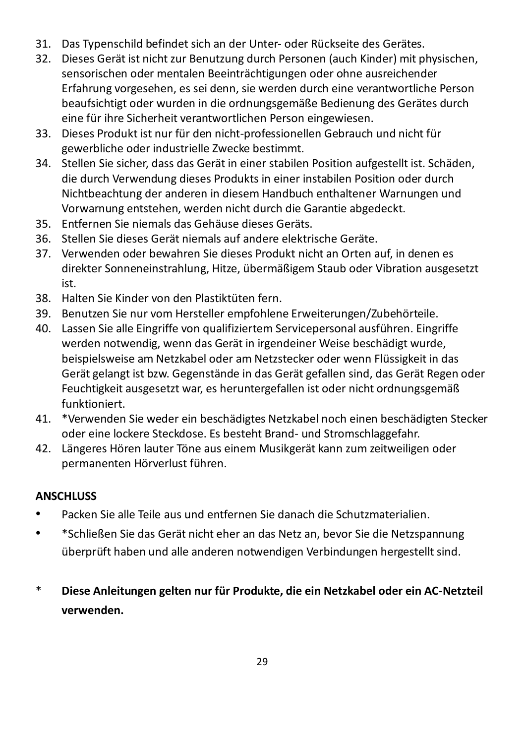- 31. Das Typenschild befindet sich an der Unter- oder Rückseite des Gerätes.
- 32. Dieses Gerät ist nicht zur Benutzung durch Personen (auch Kinder) mit physischen, sensorischen oder mentalen Beeinträchtigungen oder ohne ausreichender Erfahrung vorgesehen, es sei denn, sie werden durch eine verantwortliche Person beaufsichtigt oder wurden in die ordnungsgemäße Bedienung des Gerätes durch eine für ihre Sicherheit verantwortlichen Person eingewiesen.
- 33. Dieses Produkt ist nur für den nicht-professionellen Gebrauch und nicht für gewerbliche oder industrielle Zwecke bestimmt.
- 34. Stellen Sie sicher, dass das Gerät in einer stabilen Position aufgestellt ist. Schäden, die durch Verwendung dieses Produkts in einer instabilen Position oder durch Nichtbeachtung der anderen in diesem Handbuch enthaltener Warnungen und Vorwarnung entstehen, werden nicht durch die Garantie abgedeckt.
- 35. Entfernen Sie niemals das Gehäuse dieses Geräts.
- 36. Stellen Sie dieses Gerät niemals auf andere elektrische Geräte.
- 37. Verwenden oder bewahren Sie dieses Produkt nicht an Orten auf, in denen es direkter Sonneneinstrahlung, Hitze, übermäßigem Staub oder Vibration ausgesetzt ist.
- 38. Halten Sie Kinder von den Plastiktüten fern.
- 39. Benutzen Sie nur vom Hersteller empfohlene Erweiterungen/Zubehörteile.
- 40. Lassen Sie alle Eingriffe von qualifiziertem Servicepersonal ausführen. Eingriffe werden notwendig, wenn das Gerät in irgendeiner Weise beschädigt wurde, beispielsweise am Netzkabel oder am Netzstecker oder wenn Flüssigkeit in das Gerät gelangt ist bzw. Gegenstände in das Gerät gefallen sind, das Gerät Regen oder Feuchtigkeit ausgesetzt war, es heruntergefallen ist oder nicht ordnungsgemäß funktioniert.
- 41. \*Verwenden Sie weder ein beschädigtes Netzkabel noch einen beschädigten Stecker oder eine lockere Steckdose. Es besteht Brand- und Stromschlaggefahr.
- 42. Längeres Hören lauter Töne aus einem Musikgerät kann zum zeitweiligen oder permanenten Hörverlust führen.

### **ANSCHLUSS**

- Packen Sie alle Teile aus und entfernen Sie danach die Schutzmaterialien.
- \*Schließen Sie das Gerät nicht eher an das Netz an, bevor Sie die Netzspannung überprüft haben und alle anderen notwendigen Verbindungen hergestellt sind.
- \* **Diese Anleitungen gelten nur für Produkte, die ein Netzkabel oder ein AC-Netzteil verwenden.**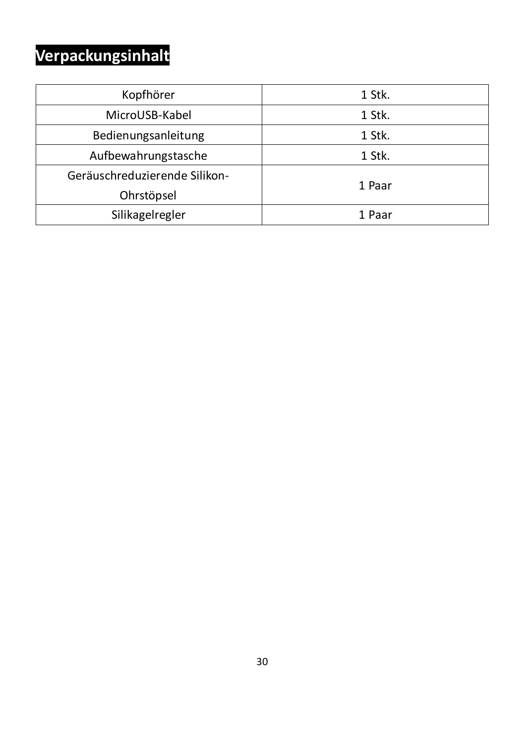# **Verpackungsinhalt**

| Kopfhörer                     | 1 Stk. |  |
|-------------------------------|--------|--|
| MicroUSB-Kabel                | 1 Stk. |  |
| Bedienungsanleitung           | 1 Stk. |  |
| Aufbewahrungstasche           | 1 Stk. |  |
| Geräuschreduzierende Silikon- | 1 Paar |  |
| Ohrstöpsel                    |        |  |
| Silikagelregler               | 1 Paar |  |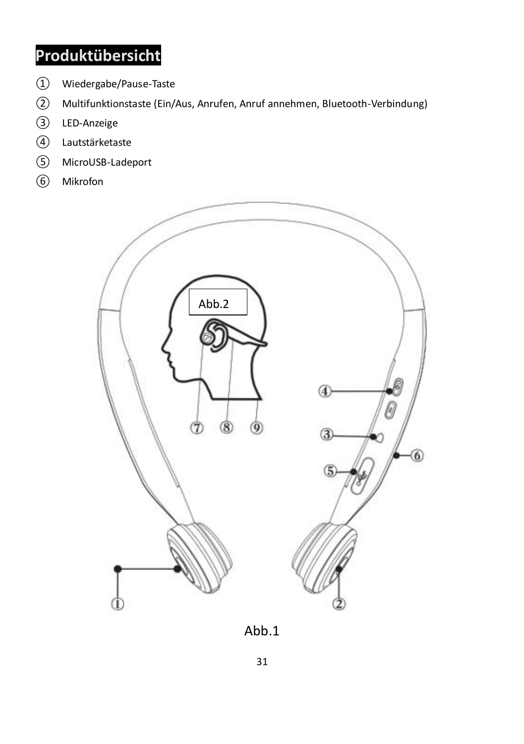## **Produktübersicht**

- Wiedergabe/Pause-Taste
- Multifunktionstaste (Ein/Aus, Anrufen, Anruf annehmen, Bluetooth-Verbindung)
- LED-Anzeige
- Lautstärketaste
- MicroUSB-Ladeport
- Mikrofon



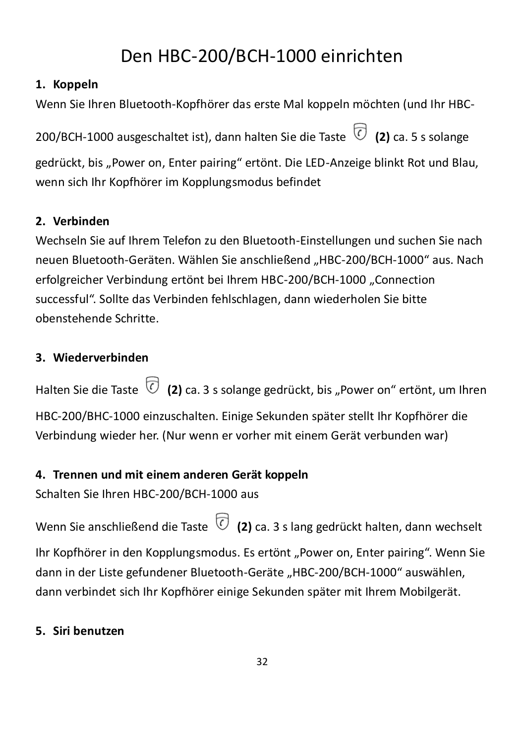### Den HBC-200/BCH-1000 einrichten

### **1. Koppeln**

Wenn Sie Ihren Bluetooth-Kopfhörer das erste Mal koppeln möchten (und Ihr HBC-

200/BCH-1000 ausgeschaltet ist), dann halten Sie die Taste **(2)** ca. 5 s solange

gedrückt, bis "Power on, Enter pairing" ertönt. Die LED-Anzeige blinkt Rot und Blau, wenn sich Ihr Kopfhörer im Kopplungsmodus befindet

### **2. Verbinden**

Wechseln Sie auf Ihrem Telefon zu den Bluetooth-Einstellungen und suchen Sie nach neuen Bluetooth-Geräten. Wählen Sie anschließend "HBC-200/BCH-1000" aus. Nach erfolgreicher Verbindung ertönt bei Ihrem HBC-200/BCH-1000 "Connection successful". Sollte das Verbinden fehlschlagen, dann wiederholen Sie bitte obenstehende Schritte.

### **3. Wiederverbinden**

Halten Sie die Taste <sup>(7</sup>2) ca. 3 s solange gedrückt, bis "Power on" ertönt, um Ihren HBC-200/BHC-1000 einzuschalten. Einige Sekunden später stellt Ihr Kopfhörer die Verbindung wieder her. (Nur wenn er vorher mit einem Gerät verbunden war)

### **4. Trennen und mit einem anderen Gerät koppeln**

Schalten Sie Ihren HBC-200/BCH-1000 aus

Wenn Sie anschließend die Taste **(2)** ca. 3 s lang gedrückt halten, dann wechselt Ihr Kopfhörer in den Kopplungsmodus. Es ertönt "Power on, Enter pairing". Wenn Sie dann in der Liste gefundener Bluetooth-Geräte "HBC-200/BCH-1000" auswählen. dann verbindet sich Ihr Kopfhörer einige Sekunden später mit Ihrem Mobilgerät.

### **5. Siri benutzen**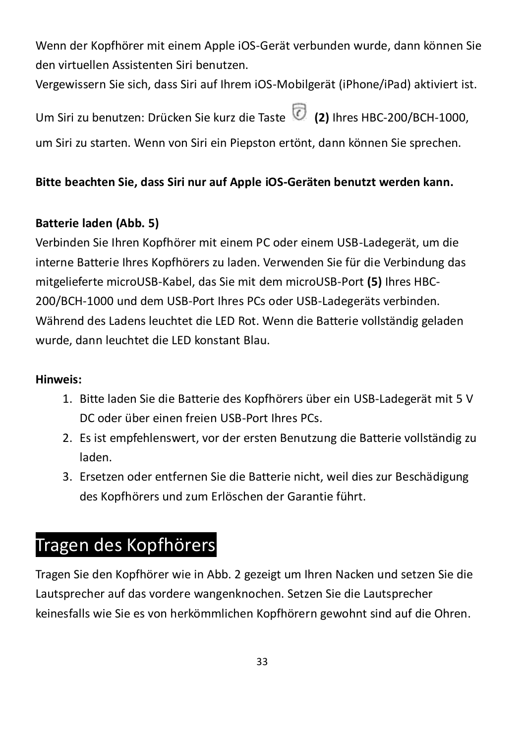Wenn der Kopfhörer mit einem Apple iOS-Gerät verbunden wurde, dann können Sie den virtuellen Assistenten Siri benutzen.

Vergewissern Sie sich, dass Siri auf Ihrem iOS-Mobilgerät (iPhone/iPad) aktiviert ist.

Um Siri zu benutzen: Drücken Sie kurz die Taste **(2)** Ihres HBC-200/BCH-1000, um Siri zu starten. Wenn von Siri ein Piepston ertönt, dann können Sie sprechen.

### **Bitte beachten Sie, dass Siri nur auf Apple iOS-Geräten benutzt werden kann.**

### **Batterie laden (Abb. 5)**

Verbinden Sie Ihren Kopfhörer mit einem PC oder einem USB-Ladegerät, um die interne Batterie Ihres Kopfhörers zu laden. Verwenden Sie für die Verbindung das mitgelieferte microUSB-Kabel, das Sie mit dem microUSB-Port **(5)** Ihres HBC-200/BCH-1000 und dem USB-Port Ihres PCs oder USB-Ladegeräts verbinden. Während des Ladens leuchtet die LED Rot. Wenn die Batterie vollständig geladen wurde, dann leuchtet die LED konstant Blau.

#### **Hinweis:**

- 1. Bitte laden Sie die Batterie des Kopfhörers über ein USB-Ladegerät mit 5 V DC oder über einen freien USB-Port Ihres PCs.
- 2. Es ist empfehlenswert, vor der ersten Benutzung die Batterie vollständig zu laden.
- 3. Ersetzen oder entfernen Sie die Batterie nicht, weil dies zur Beschädigung des Kopfhörers und zum Erlöschen der Garantie führt.

### Tragen des Kopfhörers

Tragen Sie den Kopfhörer wie in Abb. 2 gezeigt um Ihren Nacken und setzen Sie die Lautsprecher auf das vordere wangenknochen. Setzen Sie die Lautsprecher keinesfalls wie Sie es von herkömmlichen Kopfhörern gewohnt sind auf die Ohren.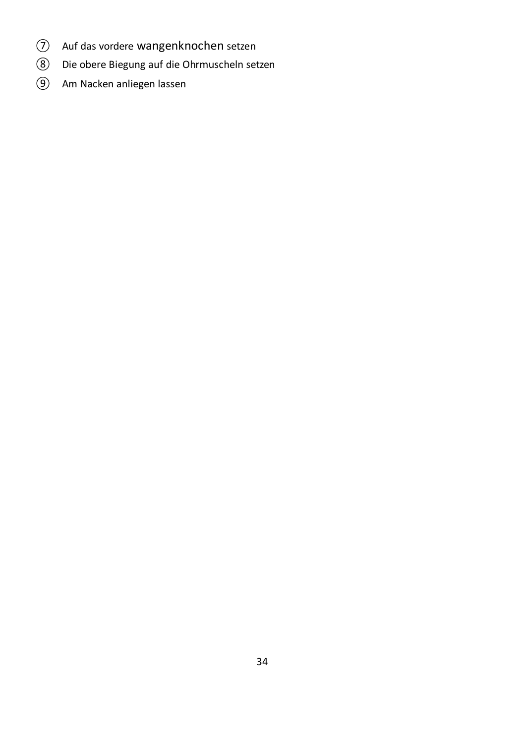- Auf das vordere wangenknochen setzen
- Die obere Biegung auf die Ohrmuscheln setzen
- Am Nacken anliegen lassen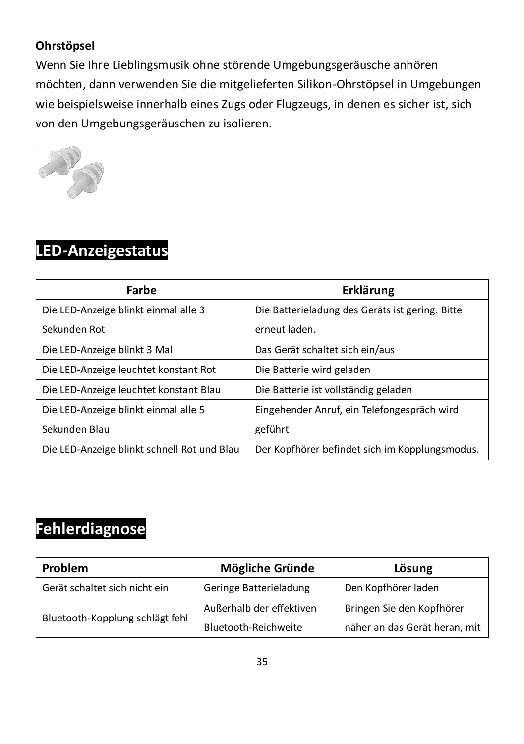### **Ohrstöpsel**

Wenn Sie Ihre Lieblingsmusik ohne störende Umgebungsgeräusche anhören möchten, dann verwenden Sie die mitgelieferten Silikon-Ohrstöpsel in Umgebungen wie beispielsweise innerhalb eines Zugs oder Flugzeugs, in denen es sicher ist, sich von den Umgebungsgeräuschen zu isolieren.



### **LED-Anzeigestatus**

| Farbe                                       | Erklärung                                       |
|---------------------------------------------|-------------------------------------------------|
| Die LED-Anzeige blinkt einmal alle 3        | Die Batterieladung des Geräts ist gering. Bitte |
| Sekunden Rot                                | erneut laden.                                   |
| Die LED-Anzeige blinkt 3 Mal                | Das Gerät schaltet sich ein/aus                 |
| Die LED-Anzeige leuchtet konstant Rot       | Die Batterie wird geladen                       |
| Die LED-Anzeige leuchtet konstant Blau      | Die Batterie ist vollständig geladen            |
| Die LED-Anzeige blinkt einmal alle 5        | Eingehender Anruf, ein Telefongespräch wird     |
| Sekunden Blau                               | geführt                                         |
| Die LED-Anzeige blinkt schnell Rot und Blau | Der Kopfhörer befindet sich im Kopplungsmodus.  |

### **Fehlerdiagnose**

| Problem                         | Mögliche Gründe          | Lösung                        |
|---------------------------------|--------------------------|-------------------------------|
| Gerät schaltet sich nicht ein   | Geringe Batterieladung   | Den Kopfhörer laden           |
|                                 | Außerhalb der effektiven | Bringen Sie den Kopfhörer     |
| Bluetooth-Kopplung schlägt fehl | Bluetooth-Reichweite     | näher an das Gerät heran, mit |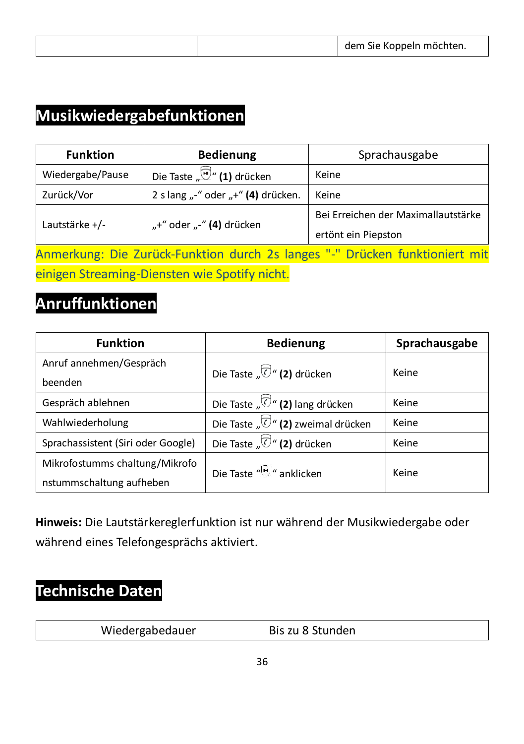|  | dem Sie Koppeln möchten. |
|--|--------------------------|
|--|--------------------------|

### **Musikwiedergabefunktionen**

| <b>Funktion</b>                                                             | <b>Bedienung</b>                                  | Sprachausgabe                                              |
|-----------------------------------------------------------------------------|---------------------------------------------------|------------------------------------------------------------|
| Wiedergabe/Pause                                                            | Die Taste " $\overline{\mathbb{D}}$ " (1) drücken | Keine                                                      |
| Zurück/Vor                                                                  | 2 s lang "-" oder "+" $(4)$ drücken.              | Keine                                                      |
| Lautstärke +/-                                                              | "+" oder "-" (4) drücken                          | Bei Erreichen der Maximallautstärke<br>ertönt ein Piepston |
| Anmerkung: Die Zurück-Funktion durch 2s langes "-" Drücken funktioniert mit |                                                   |                                                            |

einigen Streaming-Diensten wie Spotify nicht.

### **Anruffunktionen**

| <b>Funktion</b>                    | <b>Bedienung</b>                                     | Sprachausgabe |
|------------------------------------|------------------------------------------------------|---------------|
| Anruf annehmen/Gespräch            | Die Taste " $\overline{\mathbb{C}}$ " (2) drücken    | Keine         |
| beenden                            |                                                      |               |
| Gespräch ablehnen                  | Die Taste " $\nabla^{\prime\prime}$ (2) lang drücken | Keine         |
| Wahlwiederholung                   | Die Taste " $\nabla$ " (2) zweimal drücken           | Keine         |
| Sprachassistent (Siri oder Google) | Die Taste " $\overline{\mathbb{C}}$ " (2) drücken    | Keine         |
| Mikrofostumms chaltung/Mikrofo     | Die Taste "" anklicken                               | Keine         |
| nstummschaltung aufheben           |                                                      |               |

**Hinweis:** Die Lautstärkereglerfunktion ist nur während der Musikwiedergabe oder während eines Telefongesprächs aktiviert.

### **Technische Daten**

| Wiedergabedauer | Bis zu 8 Stunden |
|-----------------|------------------|
|-----------------|------------------|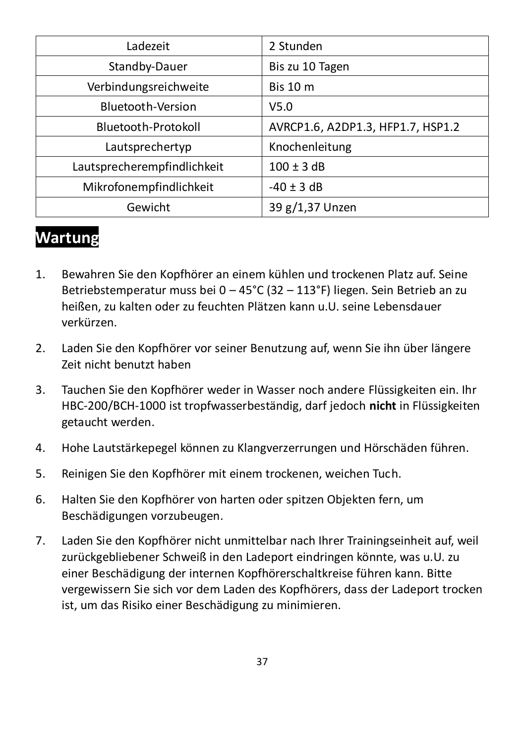| Ladezeit                    | 2 Stunden                         |
|-----------------------------|-----------------------------------|
| Standby-Dauer               | Bis zu 10 Tagen                   |
| Verbindungsreichweite       | <b>Bis 10 m</b>                   |
| Bluetooth-Version           | V <sub>5.0</sub>                  |
| Bluetooth-Protokoll         | AVRCP1.6, A2DP1.3, HFP1.7, HSP1.2 |
| Lautsprechertyp             | Knochenleitung                    |
| Lautsprecherempfindlichkeit | $100 \pm 3$ dB                    |
| Mikrofonempfindlichkeit     | $-40 \pm 3$ dB                    |
| Gewicht                     | 39 g/1,37 Unzen                   |

### **Wartung**

- 1. Bewahren Sie den Kopfhörer an einem kühlen und trockenen Platz auf. Seine Betriebstemperatur muss bei 0 – 45°C (32 – 113°F) liegen. Sein Betrieb an zu heißen, zu kalten oder zu feuchten Plätzen kann u.U. seine Lebensdauer verkürzen.
- 2. Laden Sie den Kopfhörer vor seiner Benutzung auf, wenn Sie ihn über längere Zeit nicht benutzt haben
- 3. Tauchen Sie den Kopfhörer weder in Wasser noch andere Flüssigkeiten ein. Ihr HBC-200/BCH-1000 ist tropfwasserbeständig, darf jedoch **nicht** in Flüssigkeiten getaucht werden.
- 4. Hohe Lautstärkepegel können zu Klangverzerrungen und Hörschäden führen.
- 5. Reinigen Sie den Kopfhörer mit einem trockenen, weichen Tuch.
- 6. Halten Sie den Kopfhörer von harten oder spitzen Objekten fern, um Beschädigungen vorzubeugen.
- 7. Laden Sie den Kopfhörer nicht unmittelbar nach Ihrer Trainingseinheit auf, weil zurückgebliebener Schweiß in den Ladeport eindringen könnte, was u.U. zu einer Beschädigung der internen Kopfhörerschaltkreise führen kann. Bitte vergewissern Sie sich vor dem Laden des Kopfhörers, dass der Ladeport trocken ist, um das Risiko einer Beschädigung zu minimieren.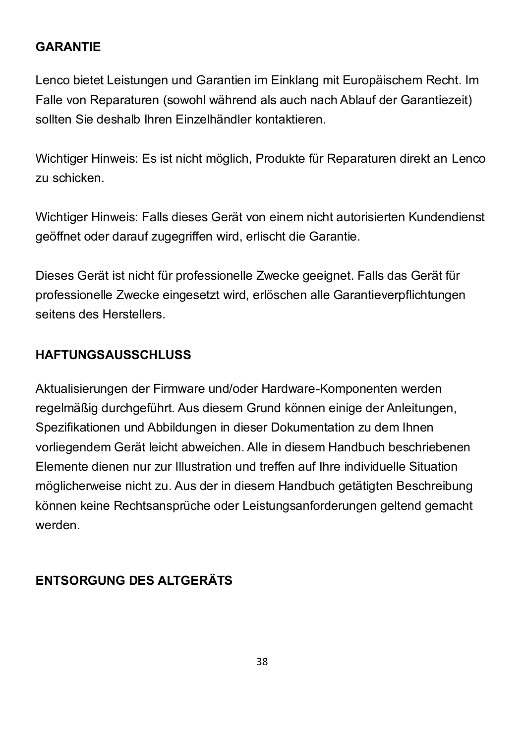### **GARANTIE**

Lenco bietet Leistungen und Garantien im Einklang mit Europäischem Recht. Im Falle von Reparaturen (sowohl während als auch nach Ablauf der Garantiezeit) sollten Sie deshalb Ihren Einzelhändler kontaktieren.

Wichtiger Hinweis: Es ist nicht möglich, Produkte für Reparaturen direkt an Lenco zu schicken.

Wichtiger Hinweis: Falls dieses Gerät von einem nicht autorisierten Kundendienst geöffnet oder darauf zugegriffen wird, erlischt die Garantie.

Dieses Gerät ist nicht für professionelle Zwecke geeignet. Falls das Gerät für professionelle Zwecke eingesetzt wird, erlöschen alle Garantieverpflichtungen seitens des Herstellers.

### **HAFTUNGSAUSSCHLUSS**

Aktualisierungen der Firmware und/oder Hardware-Komponenten werden regelmäßig durchgeführt. Aus diesem Grund können einige der Anleitungen, Spezifikationen und Abbildungen in dieser Dokumentation zu dem Ihnen vorliegendem Gerät leicht abweichen. Alle in diesem Handbuch beschriebenen Elemente dienen nur zur Illustration und treffen auf Ihre individuelle Situation möglicherweise nicht zu. Aus der in diesem Handbuch getätigten Beschreibung können keine Rechtsansprüche oder Leistungsanforderungen geltend gemacht werden.

### **ENTSORGUNG DES ALTGERÄTS**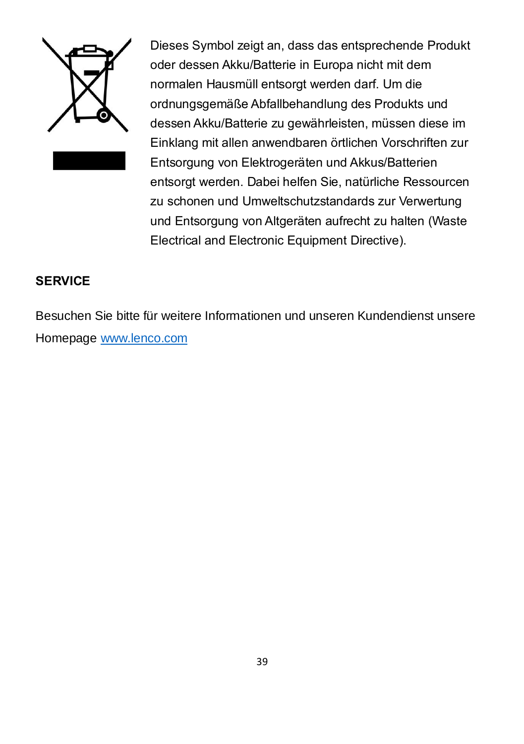

Dieses Symbol zeigt an, dass das entsprechende Produkt oder dessen Akku/Batterie in Europa nicht mit dem normalen Hausmüll entsorgt werden darf. Um die ordnungsgemäße Abfallbehandlung des Produkts und dessen Akku/Batterie zu gewährleisten, müssen diese im Einklang mit allen anwendbaren örtlichen Vorschriften zur Entsorgung von Elektrogeräten und Akkus/Batterien entsorgt werden. Dabei helfen Sie, natürliche Ressourcen zu schonen und Umweltschutzstandards zur Verwertung und Entsorgung von Altgeräten aufrecht zu halten (Waste Electrical and Electronic Equipment Directive).

### **SERVICE**

Besuchen Sie bitte für weitere Informationen und unseren Kundendienst unsere Homepage [www.lenco.com](http://www.lenco.com/)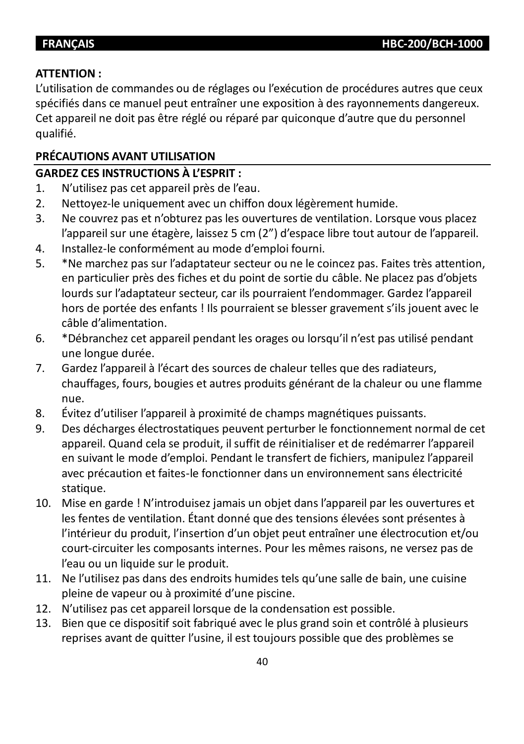#### <span id="page-39-0"></span>**ATTENTION :**

L'utilisation de commandes ou de réglages ou l'exécution de procédures autres que ceux spécifiés dans ce manuel peut entraîner une exposition à des rayonnements dangereux. Cet appareil ne doit pas être réglé ou réparé par quiconque d'autre que du personnel qualifié.

#### **PRÉCAUTIONS AVANT UTILISATION**

#### **GARDEZ CES INSTRUCTIONS À L'ESPRIT :**

- 1. N'utilisez pas cet appareil près de l'eau.
- 2. Nettoyez-le uniquement avec un chiffon doux légèrement humide.
- 3. Ne couvrez pas et n'obturez pas les ouvertures de ventilation. Lorsque vous placez l'appareil sur une étagère, laissez 5 cm (2") d'espace libre tout autour de l'appareil.
- 4. Installez-le conformément au mode d'emploi fourni.
- 5. \*Ne marchez pas sur l'adaptateur secteur ou ne le coincez pas. Faites très attention, en particulier près des fiches et du point de sortie du câble. Ne placez pas d'objets lourds sur l'adaptateur secteur, car ils pourraient l'endommager. Gardez l'appareil hors de portée des enfants ! Ils pourraient se blesser gravement s'ils jouent avec le câble d'alimentation.
- 6. \*Débranchez cet appareil pendant les orages ou lorsqu'il n'est pas utilisé pendant une longue durée.
- 7. Gardez l'appareil à l'écart des sources de chaleur telles que des radiateurs, chauffages, fours, bougies et autres produits générant de la chaleur ou une flamme nue.
- 8. Évitez d'utiliser l'appareil à proximité de champs magnétiques puissants.
- 9. Des décharges électrostatiques peuvent perturber le fonctionnement normal de cet appareil. Quand cela se produit, il suffit de réinitialiser et de redémarrer l'appareil en suivant le mode d'emploi. Pendant le transfert de fichiers, manipulez l'appareil avec précaution et faites-le fonctionner dans un environnement sans électricité statique.
- 10. Mise en garde ! N'introduisez jamais un objet dans l'appareil par les ouvertures et les fentes de ventilation. Étant donné que des tensions élevées sont présentes à l'intérieur du produit, l'insertion d'un objet peut entraîner une électrocution et/ou court-circuiter les composants internes. Pour les mêmes raisons, ne versez pas de l'eau ou un liquide sur le produit.
- 11. Ne l'utilisez pas dans des endroits humides tels qu'une salle de bain, une cuisine pleine de vapeur ou à proximité d'une piscine.
- 12. N'utilisez pas cet appareil lorsque de la condensation est possible.
- 13. Bien que ce dispositif soit fabriqué avec le plus grand soin et contrôlé à plusieurs reprises avant de quitter l'usine, il est toujours possible que des problèmes se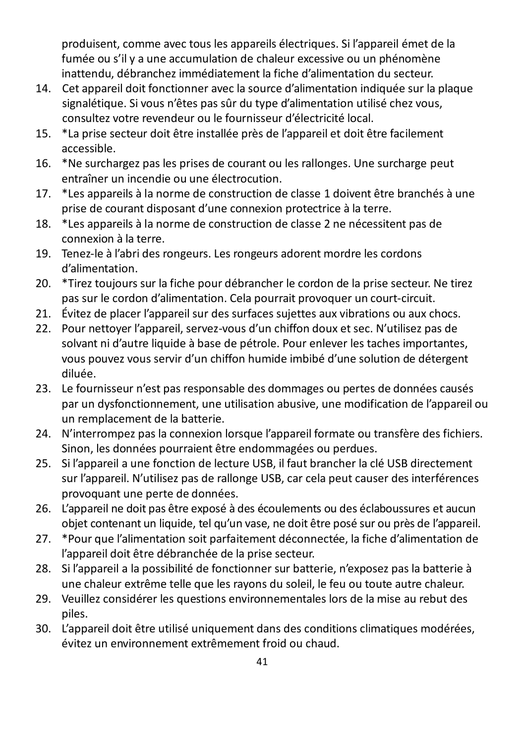produisent, comme avec tous les appareils électriques. Si l'appareil émet de la fumée ou s'il y a une accumulation de chaleur excessive ou un phénomène inattendu, débranchez immédiatement la fiche d'alimentation du secteur.

- 14. Cet appareil doit fonctionner avec la source d'alimentation indiquée sur la plaque signalétique. Si vous n'êtes pas sûr du type d'alimentation utilisé chez vous, consultez votre revendeur ou le fournisseur d'électricité local.
- 15. \*La prise secteur doit être installée près de l'appareil et doit être facilement accessible.
- 16. \*Ne surchargez pas les prises de courant ou les rallonges. Une surcharge peut entraîner un incendie ou une électrocution.
- 17. \*Les appareils à la norme de construction de classe 1 doivent être branchés à une prise de courant disposant d'une connexion protectrice à la terre.
- 18. \*Les appareils à la norme de construction de classe 2 ne nécessitent pas de connexion à la terre.
- 19. Tenez-le à l'abri des rongeurs. Les rongeurs adorent mordre les cordons d'alimentation.
- 20. \*Tirez toujours sur la fiche pour débrancher le cordon de la prise secteur. Ne tirez pas sur le cordon d'alimentation. Cela pourrait provoquer un court-circuit.
- 21. Évitez de placer l'appareil sur des surfaces sujettes aux vibrations ou aux chocs.
- 22. Pour nettoyer l'appareil, servez-vous d'un chiffon doux et sec. N'utilisez pas de solvant ni d'autre liquide à base de pétrole. Pour enlever les taches importantes, vous pouvez vous servir d'un chiffon humide imbibé d'une solution de détergent diluée.
- 23. Le fournisseur n'est pas responsable des dommages ou pertes de données causés par un dysfonctionnement, une utilisation abusive, une modification de l'appareil ou un remplacement de la batterie.
- 24. N'interrompez pas la connexion lorsque l'appareil formate ou transfère des fichiers. Sinon, les données pourraient être endommagées ou perdues.
- 25. Si l'appareil a une fonction de lecture USB, il faut brancher la clé USB directement sur l'appareil. N'utilisez pas de rallonge USB, car cela peut causer des interférences provoquant une perte de données.
- 26. L'appareil ne doit pas être exposé à des écoulements ou des éclaboussures et aucun objet contenant un liquide, tel qu'un vase, ne doit être posé sur ou près de l'appareil.
- 27. \*Pour que l'alimentation soit parfaitement déconnectée, la fiche d'alimentation de l'appareil doit être débranchée de la prise secteur.
- 28. Si l'appareil a la possibilité de fonctionner sur batterie, n'exposez pas la batterie à une chaleur extrême telle que les rayons du soleil, le feu ou toute autre chaleur.
- 29. Veuillez considérer les questions environnementales lors de la mise au rebut des piles.
- 30. L'appareil doit être utilisé uniquement dans des conditions climatiques modérées, évitez un environnement extrêmement froid ou chaud.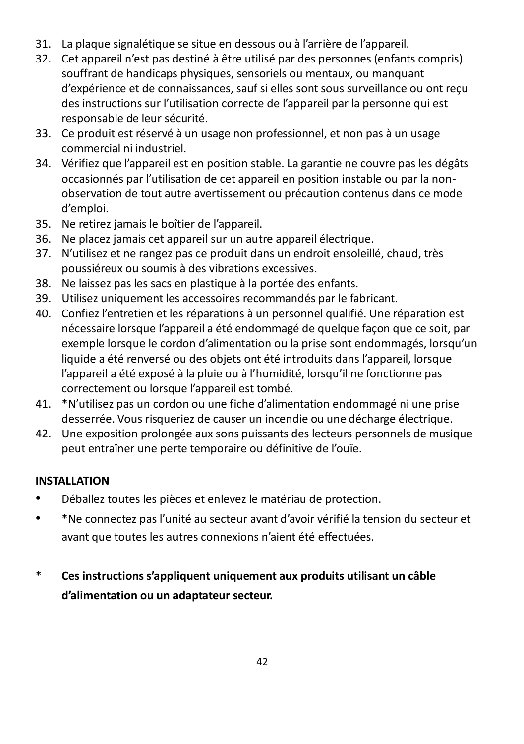- 31. La plaque signalétique se situe en dessous ou à l'arrière de l'appareil.
- 32. Cet appareil n'est pas destiné à être utilisé par des personnes (enfants compris) souffrant de handicaps physiques, sensoriels ou mentaux, ou manquant d'expérience et de connaissances, sauf si elles sont sous surveillance ou ont reçu des instructions sur l'utilisation correcte de l'appareil par la personne qui est responsable de leur sécurité.
- 33. Ce produit est réservé à un usage non professionnel, et non pas à un usage commercial ni industriel.
- 34. Vérifiez que l'appareil est en position stable. La garantie ne couvre pas les dégâts occasionnés par l'utilisation de cet appareil en position instable ou par la nonobservation de tout autre avertissement ou précaution contenus dans ce mode d'emploi.
- 35. Ne retirez jamais le boîtier de l'appareil.
- 36. Ne placez jamais cet appareil sur un autre appareil électrique.
- 37. N'utilisez et ne rangez pas ce produit dans un endroit ensoleillé, chaud, très poussiéreux ou soumis à des vibrations excessives.
- 38. Ne laissez pas les sacs en plastique à la portée des enfants.
- 39. Utilisez uniquement les accessoires recommandés par le fabricant.
- 40. Confiez l'entretien et les réparations à un personnel qualifié. Une réparation est nécessaire lorsque l'appareil a été endommagé de quelque façon que ce soit, par exemple lorsque le cordon d'alimentation ou la prise sont endommagés, lorsqu'un liquide a été renversé ou des objets ont été introduits dans l'appareil, lorsque l'appareil a été exposé à la pluie ou à l'humidité, lorsqu'il ne fonctionne pas correctement ou lorsque l'appareil est tombé.
- 41. \*N'utilisez pas un cordon ou une fiche d'alimentation endommagé ni une prise desserrée. Vous risqueriez de causer un incendie ou une décharge électrique.
- 42. Une exposition prolongée aux sons puissants des lecteurs personnels de musique peut entraîner une perte temporaire ou définitive de l'ouïe.

#### **INSTALLATION**

- Déballez toutes les pièces et enlevez le matériau de protection.
- \*Ne connectez pas l'unité au secteur avant d'avoir vérifié la tension du secteur et avant que toutes les autres connexions n'aient été effectuées.
- \* **Ces instructions s'appliquent uniquement aux produits utilisant un câble d'alimentation ou un adaptateur secteur.**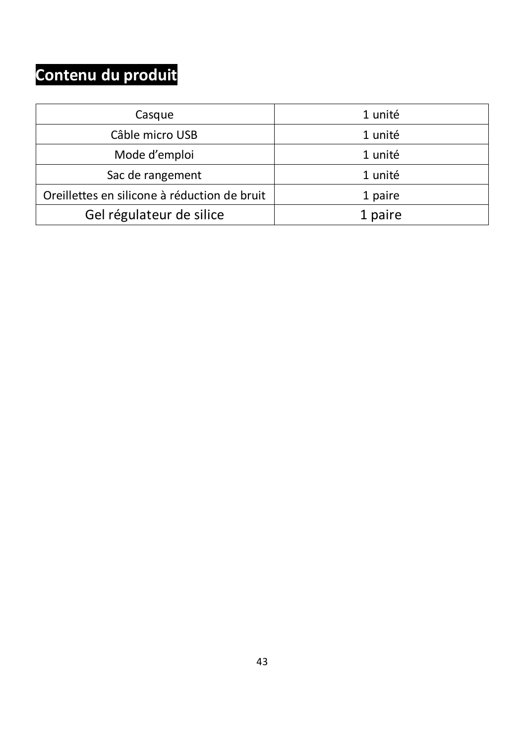# **Contenu du produit**

| Casque                                       | 1 unité |
|----------------------------------------------|---------|
| Câble micro USB                              | 1 unité |
| Mode d'emploi                                | 1 unité |
| Sac de rangement                             | 1 unité |
| Oreillettes en silicone à réduction de bruit | 1 paire |
| Gel régulateur de silice                     | 1 paire |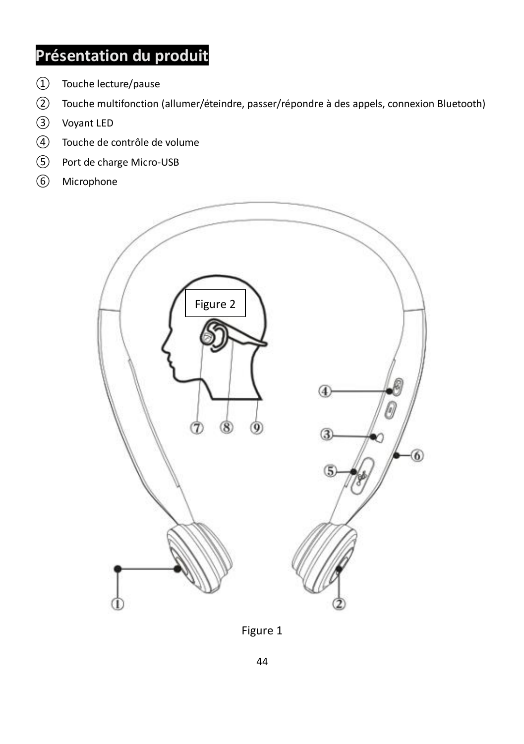## **Présentation du produit**

- Touche lecture/pause
- Touche multifonction (allumer/éteindre, passer/répondre à des appels, connexion Bluetooth)
- Voyant LED
- Touche de contrôle de volume
- Port de charge Micro-USB
- Microphone



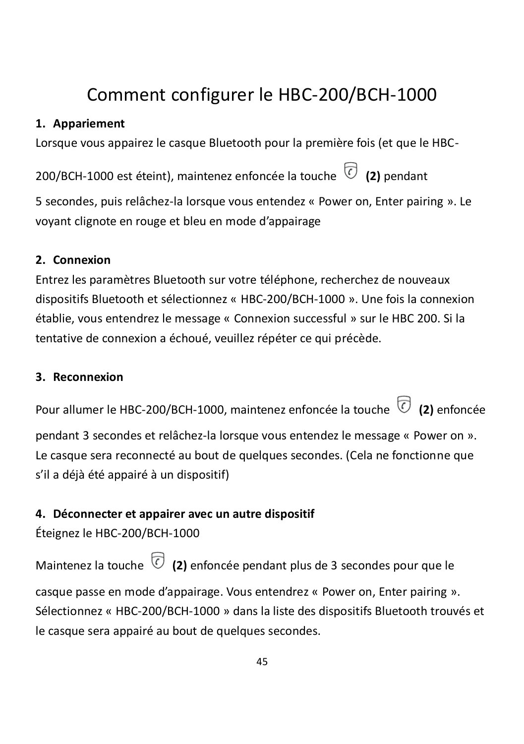## Comment configurer le HBC-200/BCH-1000

#### **1. Appariement**

Lorsque vous appairez le casque Bluetooth pour la première fois (et que le HBC-

200/BCH-1000 est éteint), maintenez enfoncée la touche **(2)** pendant

5 secondes, puis relâchez-la lorsque vous entendez « Power on, Enter pairing ». Le voyant clignote en rouge et bleu en mode d'appairage

#### **2. Connexion**

Entrez les paramètres Bluetooth sur votre téléphone, recherchez de nouveaux dispositifs Bluetooth et sélectionnez « HBC-200/BCH-1000 ». Une fois la connexion établie, vous entendrez le message « Connexion successful » sur le HBC 200. Si la tentative de connexion a échoué, veuillez répéter ce qui précède.

#### **3. Reconnexion**

Pour allumer le HBC-200/BCH-1000, maintenez enfoncée la touche **(2)** enfoncée pendant 3 secondes et relâchez-la lorsque vous entendez le message « Power on ». Le casque sera reconnecté au bout de quelques secondes. (Cela ne fonctionne que s'il a déjà été appairé à un dispositif)

#### **4. Déconnecter et appairer avec un autre dispositif**

Éteignez le HBC-200/BCH-1000

Maintenez la touche **(2)** enfoncée pendant plus de 3 secondes pour que le casque passe en mode d'appairage. Vous entendrez « Power on, Enter pairing ». Sélectionnez « HBC-200/BCH-1000 » dans la liste des dispositifs Bluetooth trouvés et le casque sera appairé au bout de quelques secondes.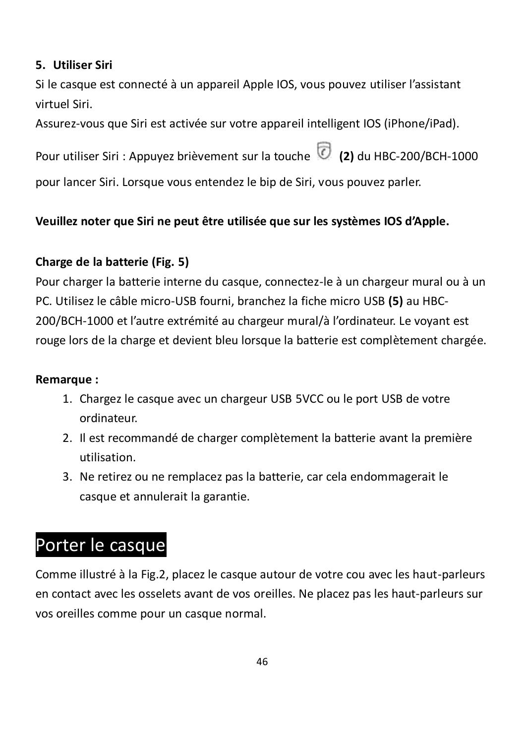#### **5. Utiliser Siri**

Si le casque est connecté à un appareil Apple IOS, vous pouvez utiliser l'assistant virtuel Siri.

Assurez-vous que Siri est activée sur votre appareil intelligent IOS (iPhone/iPad).

Pour utiliser Siri : Appuyez brièvement sur la touche **(2)** du HBC-200/BCH-1000

pour lancer Siri. Lorsque vous entendez le bip de Siri, vous pouvez parler.

### **Veuillez noter que Siri ne peut être utilisée que sur les systèmes IOS d'Apple.**

### **Charge de la batterie (Fig. 5)**

Pour charger la batterie interne du casque, connectez-le à un chargeur mural ou à un PC. Utilisez le câble micro-USB fourni, branchez la fiche micro USB **(5)** au HBC-200/BCH-1000 et l'autre extrémité au chargeur mural/à l'ordinateur. Le voyant est rouge lors de la charge et devient bleu lorsque la batterie est complètement chargée.

#### **Remarque :**

- 1. Chargez le casque avec un chargeur USB 5VCC ou le port USB de votre ordinateur.
- 2. Il est recommandé de charger complètement la batterie avant la première utilisation.
- 3. Ne retirez ou ne remplacez pas la batterie, car cela endommagerait le casque et annulerait la garantie.

### Porter le casque

Comme illustré à la Fig.2, placez le casque autour de votre cou avec les haut-parleurs en contact avec les osselets avant de vos oreilles. Ne placez pas les haut-parleurs sur vos oreilles comme pour un casque normal.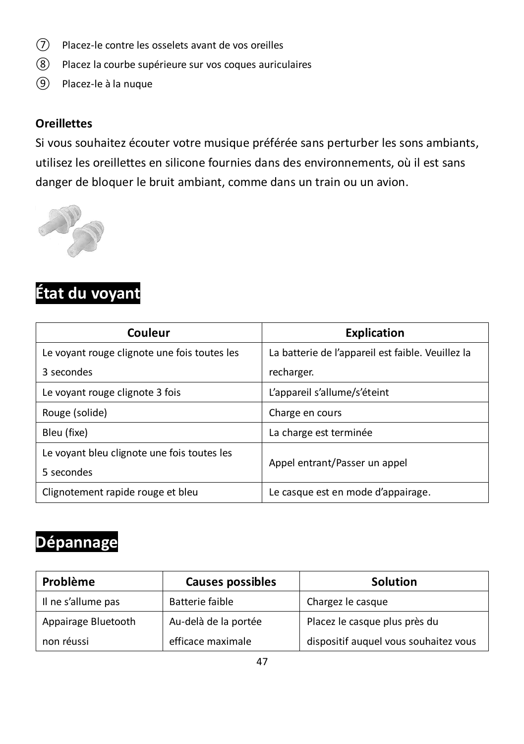- ⑦ Placez-le contre les osselets avant de vos oreilles
- ⑧ Placez la courbe supérieure sur vos coques auriculaires
- ⑨ Placez-le à la nuque

#### **Oreillettes**

Si vous souhaitez écouter votre musique préférée sans perturber les sons ambiants, utilisez les oreillettes en silicone fournies dans des environnements, où il est sans danger de bloquer le bruit ambiant, comme dans un train ou un avion.



### **État du voyant**

| Couleur                                      | <b>Explication</b>                                |
|----------------------------------------------|---------------------------------------------------|
| Le voyant rouge clignote une fois toutes les | La batterie de l'appareil est faible. Veuillez la |
| 3 secondes                                   | recharger.                                        |
| Le voyant rouge clignote 3 fois              | L'appareil s'allume/s'éteint                      |
| Rouge (solide)                               | Charge en cours                                   |
| Bleu (fixe)                                  | La charge est terminée                            |
| Le voyant bleu clignote une fois toutes les  |                                                   |
| 5 secondes                                   | Appel entrant/Passer un appel                     |
| Clignotement rapide rouge et bleu            | Le casque est en mode d'appairage.                |

### **Dépannage**

| Problème            | <b>Causes possibles</b> | <b>Solution</b>                       |
|---------------------|-------------------------|---------------------------------------|
| Il ne s'allume pas  | <b>Batterie faible</b>  | Chargez le casque                     |
| Appairage Bluetooth | Au-delà de la portée    | Placez le casque plus près du         |
| non réussi          | efficace maximale       | dispositif auguel vous souhaitez vous |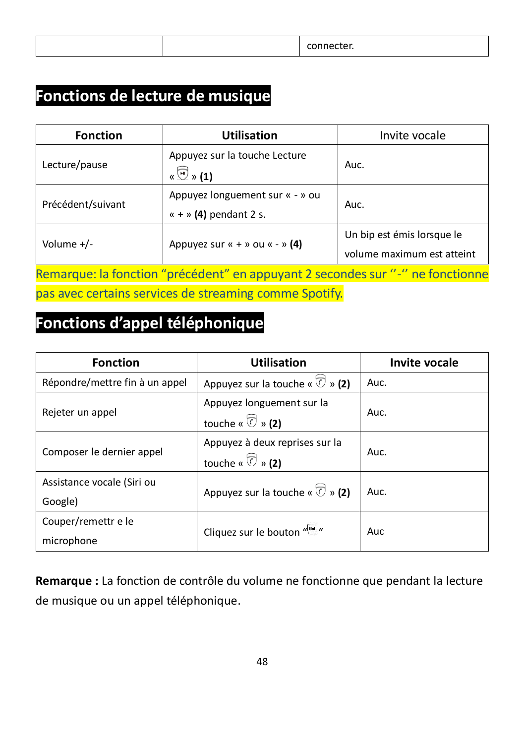|  | nnnerter<br>$\sim$ $\sim$ $\sim$ |
|--|----------------------------------|
|  |                                  |

## **Fonctions de lecture de musique**

| <b>Fonction</b>                                                                                            | <b>Utilisation</b>                                               | Invite vocale |
|------------------------------------------------------------------------------------------------------------|------------------------------------------------------------------|---------------|
| Lecture/pause                                                                                              | Appuyez sur la touche Lecture<br>$\sqrt{M}$ » (1)                | Auc.          |
| Précédent/suivant                                                                                          | Appuyez longuement sur « - » ou<br>$\kappa$ + » (4) pendant 2 s. | Auc.          |
| Un bip est émis lorsque le<br>Appuyez sur « + » ou « - » (4)<br>Volume $+/-$<br>volume maximum est atteint |                                                                  |               |
| Remarque: la fonction "précédent" en appuyant 2 secondes sur "-" ne fonctionne                             |                                                                  |               |

pas avec certains services de streaming comme Spotify.

## **Fonctions d'appel téléphonique**

| <b>Fonction</b>                       | <b>Utilisation</b>                                                       | Invite vocale |
|---------------------------------------|--------------------------------------------------------------------------|---------------|
| Répondre/mettre fin à un appel        | Appuyez sur la touche « $\overrightarrow{\bigcirc}$ » (2)                | Auc.          |
| Rejeter un appel                      | Appuyez longuement sur la<br>touche « $\overline{\mathbb{C}}$ » (2)      | Auc.          |
| Composer le dernier appel             | Appuyez à deux reprises sur la<br>touche « $\overline{\mathbb{C}}$ » (2) | Auc.          |
| Assistance vocale (Siri ou<br>Google) | Appuyez sur la touche « $\overline{\mathbb{C}}$ » (2)                    | Auc.          |
| Couper/remettr e le<br>microphone     | Cliquez sur le bouton ""                                                 | Auc           |

**Remarque :** La fonction de contrôle du volume ne fonctionne que pendant la lecture de musique ou un appel téléphonique.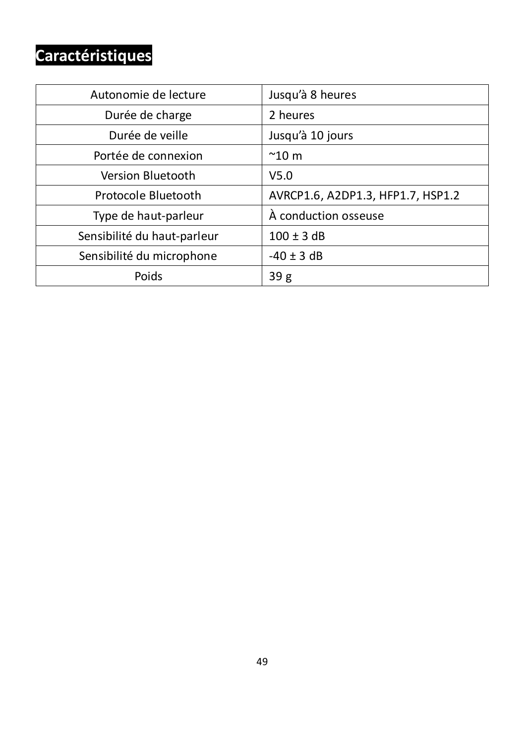## **Caractéristiques**

| Autonomie de lecture        | Jusqu'à 8 heures                  |
|-----------------------------|-----------------------------------|
| Durée de charge             | 2 heures                          |
| Durée de veille             | Jusqu'à 10 jours                  |
| Portée de connexion         | $^{\sim}$ 10 m                    |
| Version Bluetooth           | V5.0                              |
| Protocole Bluetooth         | AVRCP1.6, A2DP1.3, HFP1.7, HSP1.2 |
| Type de haut-parleur        | À conduction osseuse              |
| Sensibilité du haut-parleur | $100 \pm 3$ dB                    |
| Sensibilité du microphone   | $-40 \pm 3$ dB                    |
| Poids                       | 39g                               |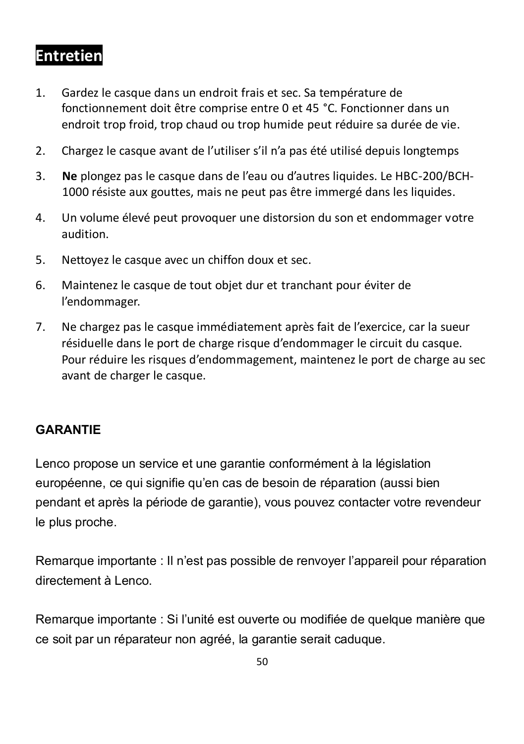### **Entretien**

- 1. Gardez le casque dans un endroit frais et sec. Sa température de fonctionnement doit être comprise entre 0 et 45 °C. Fonctionner dans un endroit trop froid, trop chaud ou trop humide peut réduire sa durée de vie.
- 2. Chargez le casque avant de l'utiliser s'il n'a pas été utilisé depuis longtemps
- 3. **Ne** plongez pas le casque dans de l'eau ou d'autres liquides. Le HBC-200/BCH-1000 résiste aux gouttes, mais ne peut pas être immergé dans les liquides.
- 4. Un volume élevé peut provoquer une distorsion du son et endommager votre audition.
- 5. Nettoyez le casque avec un chiffon doux et sec.
- 6. Maintenez le casque de tout objet dur et tranchant pour éviter de l'endommager.
- 7. Ne chargez pas le casque immédiatement après fait de l'exercice, car la sueur résiduelle dans le port de charge risque d'endommager le circuit du casque. Pour réduire les risques d'endommagement, maintenez le port de charge au sec avant de charger le casque.

### **GARANTIE**

Lenco propose un service et une garantie conformément à la législation européenne, ce qui signifie qu'en cas de besoin de réparation (aussi bien pendant et après la période de garantie), vous pouvez contacter votre revendeur le plus proche.

Remarque importante : Il n'est pas possible de renvoyer l'appareil pour réparation directement à Lenco.

Remarque importante : Si l'unité est ouverte ou modifiée de quelque manière que ce soit par un réparateur non agréé, la garantie serait caduque.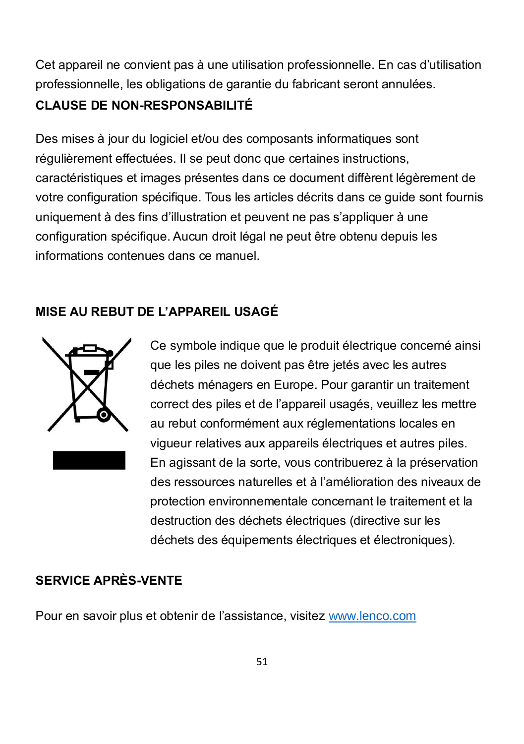Cet appareil ne convient pas à une utilisation professionnelle. En cas d'utilisation professionnelle, les obligations de garantie du fabricant seront annulées.

### **CLAUSE DE NON-RESPONSABILITÉ**

Des mises à jour du logiciel et/ou des composants informatiques sont régulièrement effectuées. Il se peut donc que certaines instructions, caractéristiques et images présentes dans ce document diffèrent légèrement de votre configuration spécifique. Tous les articles décrits dans ce guide sont fournis uniquement à des fins d'illustration et peuvent ne pas s'appliquer à une configuration spécifique. Aucun droit légal ne peut être obtenu depuis les informations contenues dans ce manuel.

### **MISE AU REBUT DE L'APPAREIL USAGÉ**



Ce symbole indique que le produit électrique concerné ainsi que les piles ne doivent pas être jetés avec les autres déchets ménagers en Europe. Pour garantir un traitement correct des piles et de l'appareil usagés, veuillez les mettre au rebut conformément aux réglementations locales en vigueur relatives aux appareils électriques et autres piles. En agissant de la sorte, vous contribuerez à la préservation des ressources naturelles et à l'amélioration des niveaux de protection environnementale concernant le traitement et la destruction des déchets électriques (directive sur les déchets des équipements électriques et électroniques).

### **SERVICE APRÈS-VENTE**

Pour en savoir plus et obtenir de l'assistance, visitez [www.lenco.com](http://www.lenco.com/)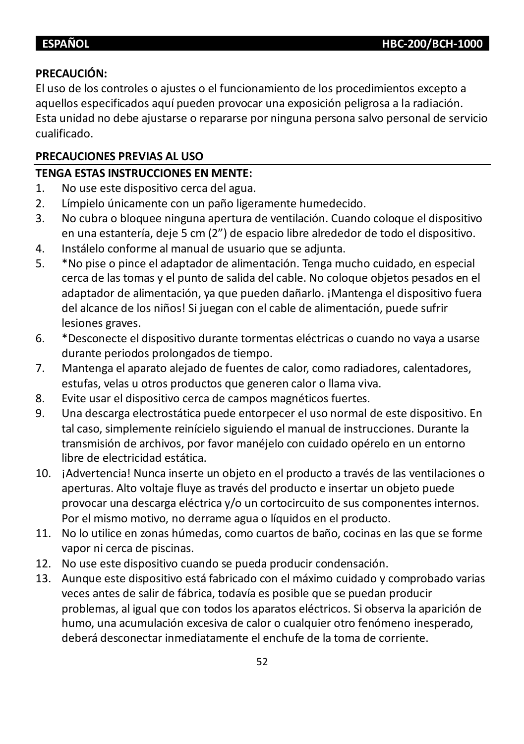#### <span id="page-51-0"></span>**PRECAUCIÓN:**

El uso de los controles o ajustes o el funcionamiento de los procedimientos excepto a aquellos especificados aquí pueden provocar una exposición peligrosa a la radiación. Esta unidad no debe ajustarse o repararse por ninguna persona salvo personal de servicio cualificado.

#### **PRECAUCIONES PREVIAS AL USO**

#### **TENGA ESTAS INSTRUCCIONES EN MENTE:**

- 1. No use este dispositivo cerca del agua.
- 2. Límpielo únicamente con un paño ligeramente humedecido.
- 3. No cubra o bloquee ninguna apertura de ventilación. Cuando coloque el dispositivo en una estantería, deje 5 cm (2") de espacio libre alrededor de todo el dispositivo.
- 4. Instálelo conforme al manual de usuario que se adjunta.
- 5. \*No pise o pince el adaptador de alimentación. Tenga mucho cuidado, en especial cerca de las tomas y el punto de salida del cable. No coloque objetos pesados en el adaptador de alimentación, ya que pueden dañarlo. ¡Mantenga el dispositivo fuera del alcance de los niños! Si juegan con el cable de alimentación, puede sufrir lesiones graves.
- 6. \*Desconecte el dispositivo durante tormentas eléctricas o cuando no vaya a usarse durante periodos prolongados de tiempo.
- 7. Mantenga el aparato alejado de fuentes de calor, como radiadores, calentadores, estufas, velas u otros productos que generen calor o llama viva.
- 8. Evite usar el dispositivo cerca de campos magnéticos fuertes.
- 9. Una descarga electrostática puede entorpecer el uso normal de este dispositivo. En tal caso, simplemente reinícielo siguiendo el manual de instrucciones. Durante la transmisión de archivos, por favor manéjelo con cuidado opérelo en un entorno libre de electricidad estática.
- 10. ¡Advertencia! Nunca inserte un objeto en el producto a través de las ventilaciones o aperturas. Alto voltaje fluye as través del producto e insertar un objeto puede provocar una descarga eléctrica y/o un cortocircuito de sus componentes internos. Por el mismo motivo, no derrame agua o líquidos en el producto.
- 11. No lo utilice en zonas húmedas, como cuartos de baño, cocinas en las que se forme vapor ni cerca de piscinas.
- 12. No use este dispositivo cuando se pueda producir condensación.
- 13. Aunque este dispositivo está fabricado con el máximo cuidado y comprobado varias veces antes de salir de fábrica, todavía es posible que se puedan producir problemas, al igual que con todos los aparatos eléctricos. Si observa la aparición de humo, una acumulación excesiva de calor o cualquier otro fenómeno inesperado, deberá desconectar inmediatamente el enchufe de la toma de corriente.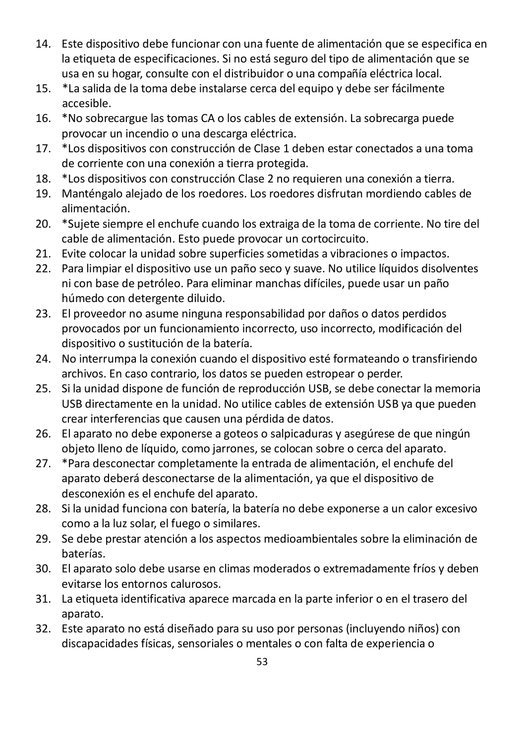- 14. Este dispositivo debe funcionar con una fuente de alimentación que se especifica en la etiqueta de especificaciones. Si no está seguro del tipo de alimentación que se usa en su hogar, consulte con el distribuidor o una compañía eléctrica local.
- 15. \*La salida de la toma debe instalarse cerca del equipo y debe ser fácilmente accesible.
- 16. \*No sobrecargue las tomas CA o los cables de extensión. La sobrecarga puede provocar un incendio o una descarga eléctrica.
- 17. \*Los dispositivos con construcción de Clase 1 deben estar conectados a una toma de corriente con una conexión a tierra protegida.
- 18. \*Los dispositivos con construcción Clase 2 no requieren una conexión a tierra.
- 19. Manténgalo alejado de los roedores. Los roedores disfrutan mordiendo cables de alimentación.
- 20. \*Sujete siempre el enchufe cuando los extraiga de la toma de corriente. No tire del cable de alimentación. Esto puede provocar un cortocircuito.
- 21. Evite colocar la unidad sobre superficies sometidas a vibraciones o impactos.
- 22. Para limpiar el dispositivo use un paño seco y suave. No utilice líquidos disolventes ni con base de petróleo. Para eliminar manchas difíciles, puede usar un paño húmedo con detergente diluido.
- 23. El proveedor no asume ninguna responsabilidad por daños o datos perdidos provocados por un funcionamiento incorrecto, uso incorrecto, modificación del dispositivo o sustitución de la batería.
- 24. No interrumpa la conexión cuando el dispositivo esté formateando o transfiriendo archivos. En caso contrario, los datos se pueden estropear o perder.
- 25. Si la unidad dispone de función de reproducción USB, se debe conectar la memoria USB directamente en la unidad. No utilice cables de extensión USB ya que pueden crear interferencias que causen una pérdida de datos.
- 26. El aparato no debe exponerse a goteos o salpicaduras y asegúrese de que ningún objeto lleno de líquido, como jarrones, se colocan sobre o cerca del aparato.
- 27. \*Para desconectar completamente la entrada de alimentación, el enchufe del aparato deberá desconectarse de la alimentación, ya que el dispositivo de desconexión es el enchufe del aparato.
- 28. Si la unidad funciona con batería, la batería no debe exponerse a un calor excesivo como a la luz solar, el fuego o similares.
- 29. Se debe prestar atención a los aspectos medioambientales sobre la eliminación de baterías.
- 30. El aparato solo debe usarse en climas moderados o extremadamente fríos y deben evitarse los entornos calurosos.
- 31. La etiqueta identificativa aparece marcada en la parte inferior o en el trasero del aparato.
- 32. Este aparato no está diseñado para su uso por personas (incluyendo niños) con discapacidades físicas, sensoriales o mentales o con falta de experiencia o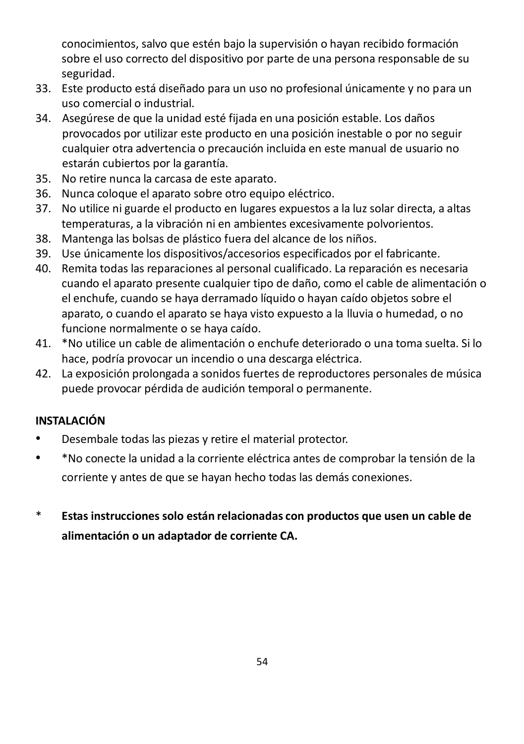conocimientos, salvo que estén bajo la supervisión o hayan recibido formación sobre el uso correcto del dispositivo por parte de una persona responsable de su seguridad.

- 33. Este producto está diseñado para un uso no profesional únicamente y no para un uso comercial o industrial.
- 34. Asegúrese de que la unidad esté fijada en una posición estable. Los daños provocados por utilizar este producto en una posición inestable o por no seguir cualquier otra advertencia o precaución incluida en este manual de usuario no estarán cubiertos por la garantía.
- 35. No retire nunca la carcasa de este aparato.
- 36. Nunca coloque el aparato sobre otro equipo eléctrico.
- 37. No utilice ni guarde el producto en lugares expuestos a la luz solar directa, a altas temperaturas, a la vibración ni en ambientes excesivamente polvorientos.
- 38. Mantenga las bolsas de plástico fuera del alcance de los niños.
- 39. Use únicamente los dispositivos/accesorios especificados por el fabricante.
- 40. Remita todas las reparaciones al personal cualificado. La reparación es necesaria cuando el aparato presente cualquier tipo de daño, como el cable de alimentación o el enchufe, cuando se haya derramado líquido o hayan caído objetos sobre el aparato, o cuando el aparato se haya visto expuesto a la lluvia o humedad, o no funcione normalmente o se haya caído.
- 41. \*No utilice un cable de alimentación o enchufe deteriorado o una toma suelta. Si lo hace, podría provocar un incendio o una descarga eléctrica.
- 42. La exposición prolongada a sonidos fuertes de reproductores personales de música puede provocar pérdida de audición temporal o permanente.

#### **INSTALACIÓN**

- Desembale todas las piezas y retire el material protector.
- \*No conecte la unidad a la corriente eléctrica antes de comprobar la tensión de la corriente y antes de que se hayan hecho todas las demás conexiones.
- \* **Estas instrucciones solo están relacionadas con productos que usen un cable de alimentación o un adaptador de corriente CA.**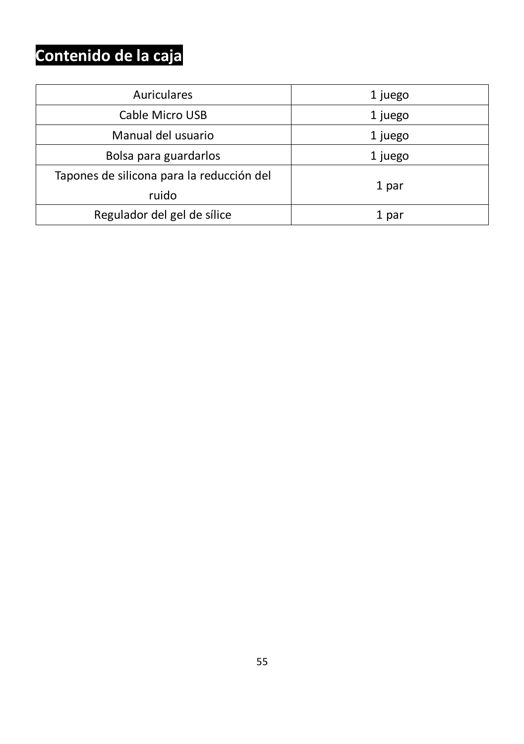# **Contenido de la caja**

| Auriculares                               | 1 juego |
|-------------------------------------------|---------|
| Cable Micro USB                           | 1 juego |
| Manual del usuario                        | 1 juego |
| Bolsa para guardarlos                     | 1 juego |
| Tapones de silicona para la reducción del |         |
| ruido                                     | 1 par   |
| Regulador del gel de sílice               | 1 par   |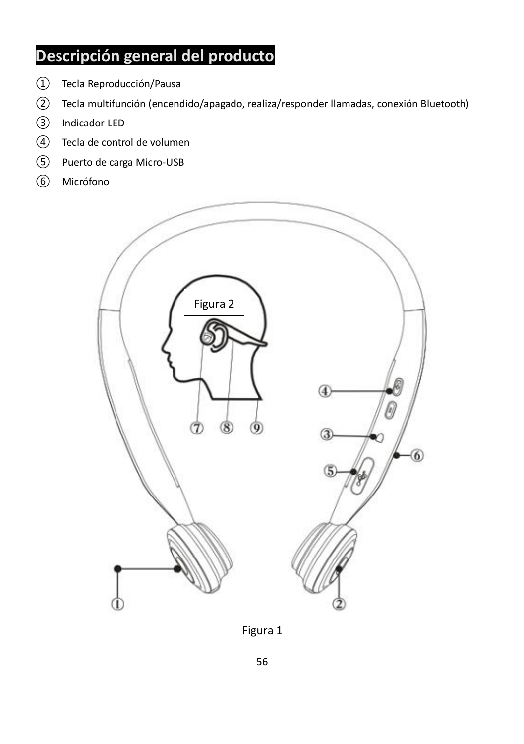## **Descripción general del producto**

- Tecla Reproducción/Pausa
- Tecla multifunción (encendido/apagado, realiza/responder llamadas, conexión Bluetooth)
- Indicador LED
- Tecla de control de volumen
- Puerto de carga Micro-USB
- Micrófono



Figura 1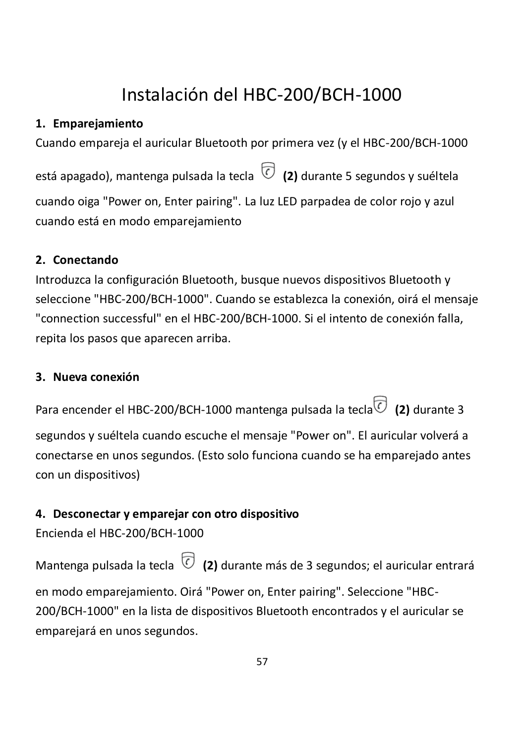## Instalación del HBC-200/BCH-1000

#### **1. Emparejamiento**

Cuando empareja el auricular Bluetooth por primera vez (y el HBC-200/BCH-1000 está apagado), mantenga pulsada la tecla **(2)** durante 5 segundos y suéltela cuando oiga "Power on, Enter pairing". La luz LED parpadea de color rojo y azul cuando está en modo emparejamiento

#### **2. Conectando**

Introduzca la configuración Bluetooth, busque nuevos dispositivos Bluetooth y seleccione "HBC-200/BCH-1000". Cuando se establezca la conexión, oirá el mensaje "connection successful" en el HBC-200/BCH-1000. Si el intento de conexión falla, repita los pasos que aparecen arriba.

#### **3. Nueva conexión**

Para encender el HBC-200/BCH-1000 mantenga pulsada la tecla **(2)** durante 3 segundos y suéltela cuando escuche el mensaje "Power on". El auricular volverá a conectarse en unos segundos. (Esto solo funciona cuando se ha emparejado antes con un dispositivos)

### **4. Desconectar y emparejar con otro dispositivo**

Encienda el HBC-200/BCH-1000

Mantenga pulsada la tecla **(2)** durante más de 3 segundos; el auricular entrará en modo emparejamiento. Oirá "Power on, Enter pairing". Seleccione "HBC-200/BCH-1000" en la lista de dispositivos Bluetooth encontrados y el auricular se emparejará en unos segundos.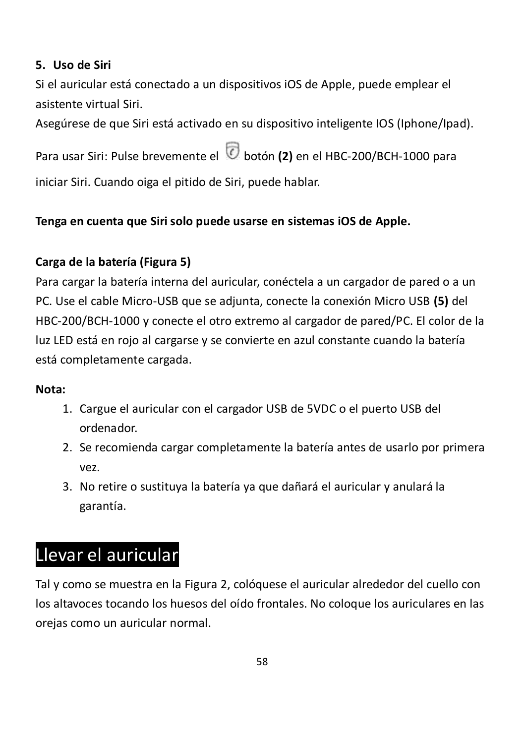#### **5. Uso de Siri**

Si el auricular está conectado a un dispositivos iOS de Apple, puede emplear el asistente virtual Siri.

Asegúrese de que Siri está activado en su dispositivo inteligente IOS (Iphone/Ipad).

Para usar Siri: Pulse brevemente el botón **(2)** en el HBC-200/BCH-1000 para

iniciar Siri. Cuando oiga el pitido de Siri, puede hablar.

### **Tenga en cuenta que Siri solo puede usarse en sistemas iOS de Apple.**

### **Carga de la batería (Figura 5)**

Para cargar la batería interna del auricular, conéctela a un cargador de pared o a un PC. Use el cable Micro-USB que se adjunta, conecte la conexión Micro USB **(5)** del HBC-200/BCH-1000 y conecte el otro extremo al cargador de pared/PC. El color de la luz LED está en rojo al cargarse y se convierte en azul constante cuando la batería está completamente cargada.

#### **Nota:**

- 1. Cargue el auricular con el cargador USB de 5VDC o el puerto USB del ordenador.
- 2. Se recomienda cargar completamente la batería antes de usarlo por primera vez.
- 3. No retire o sustituya la batería ya que dañará el auricular y anulará la garantía.

### Llevar el auricular

Tal y como se muestra en la Figura 2, colóquese el auricular alrededor del cuello con los altavoces tocando los huesos del oído frontales. No coloque los auriculares en las orejas como un auricular normal.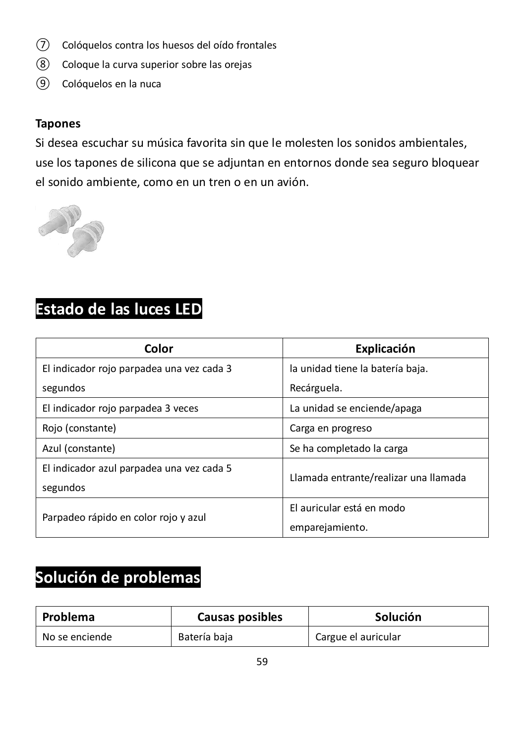- ⑦ Colóquelos contra los huesos del oído frontales
- ⑧ Coloque la curva superior sobre las orejas
- ⑨ Colóquelos en la nuca

#### **Tapones**

Si desea escuchar su música favorita sin que le molesten los sonidos ambientales, use los tapones de silicona que se adjuntan en entornos donde sea seguro bloquear el sonido ambiente, como en un tren o en un avión.



### **Estado de las luces LED**

| Color                                                 | Explicación                                  |
|-------------------------------------------------------|----------------------------------------------|
| El indicador rojo parpadea una vez cada 3             | la unidad tiene la batería baja.             |
| segundos                                              | Recárguela.                                  |
| El indicador rojo parpadea 3 veces                    | La unidad se enciende/apaga                  |
| Rojo (constante)                                      | Carga en progreso                            |
| Azul (constante)                                      | Se ha completado la carga                    |
| El indicador azul parpadea una vez cada 5<br>segundos | Llamada entrante/realizar una llamada        |
| Parpadeo rápido en color rojo y azul                  | El auricular está en modo<br>emparejamiento. |

### **Solución de problemas**

| Problema       | Causas posibles | Solución            |
|----------------|-----------------|---------------------|
| No se enciende | Batería baja    | Cargue el auricular |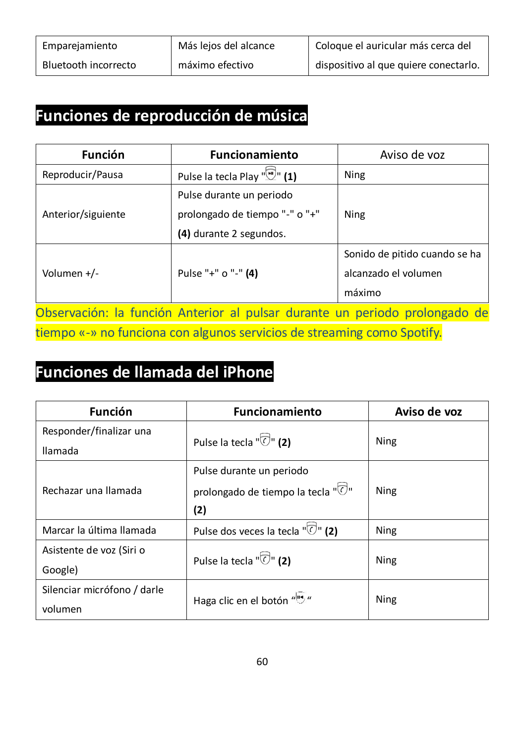### **Funciones de reproducción de música**

| <b>Función</b>                                                              | <b>Funcionamiento</b>          | Aviso de voz                  |
|-----------------------------------------------------------------------------|--------------------------------|-------------------------------|
| Reproducir/Pausa                                                            | Pulse la tecla Play "[1]" (1)  | Ning                          |
|                                                                             | Pulse durante un periodo       |                               |
| Anterior/siguiente                                                          | prolongado de tiempo "-" o "+" | <b>Ning</b>                   |
|                                                                             | (4) durante 2 segundos.        |                               |
|                                                                             |                                | Sonido de pitido cuando se ha |
| Volumen +/-                                                                 | Pulse "+" o "-" (4)            | alcanzado el volumen          |
|                                                                             |                                | máximo                        |
| Observación: la función Anterior al pulsar durante un periodo prolongado de |                                |                               |

tiempo «-» no funciona con algunos servicios de streaming como Spotify.

### **Funciones de llamada del iPhone**

| <b>Función</b>              | <b>Funcionamiento</b>                                     | Aviso de voz |
|-----------------------------|-----------------------------------------------------------|--------------|
| Responder/finalizar una     | Pulse la tecla "C" (2)                                    | Ning         |
| Ilamada                     |                                                           |              |
|                             | Pulse durante un periodo                                  |              |
| Rechazar una llamada        | prolongado de tiempo la tecla " $\overline{\mathbb{C}}$ " | Ning         |
|                             | (2)                                                       |              |
| Marcar la última llamada    | Pulse dos veces la tecla " $\overline{\mathbb{C}}$ " (2)  | Ning         |
| Asistente de voz (Siri o    | Pulse la tecla "V" (2)                                    |              |
| Google)                     |                                                           | Ning         |
| Silenciar micrófono / darle |                                                           |              |
| volumen                     | Haga clic en el botón ""                                  | Ning         |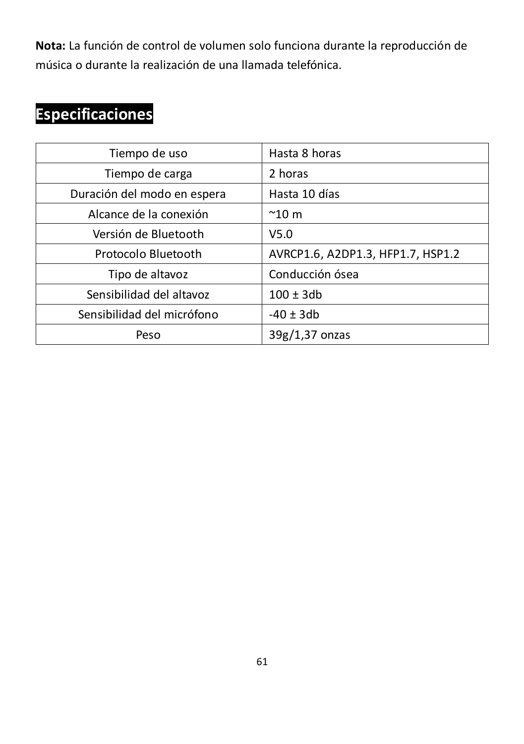**Nota:** La función de control de volumen solo funciona durante la reproducción de música o durante la realización de una llamada telefónica.

### **Especificaciones**

| Tiempo de uso               | Hasta 8 horas                     |
|-----------------------------|-----------------------------------|
| Tiempo de carga             | 2 horas                           |
| Duración del modo en espera | Hasta 10 días                     |
| Alcance de la conexión      | $^{\sim}$ 10 m                    |
| Versión de Bluetooth        | V <sub>5.0</sub>                  |
| Protocolo Bluetooth         | AVRCP1.6, A2DP1.3, HFP1.7, HSP1.2 |
| Tipo de altavoz             | Conducción ósea                   |
| Sensibilidad del altavoz    | $100 \pm 3$ db                    |
| Sensibilidad del micrófono  | $-40 \pm 3$ db                    |
| Peso                        | 39g/1,37 onzas                    |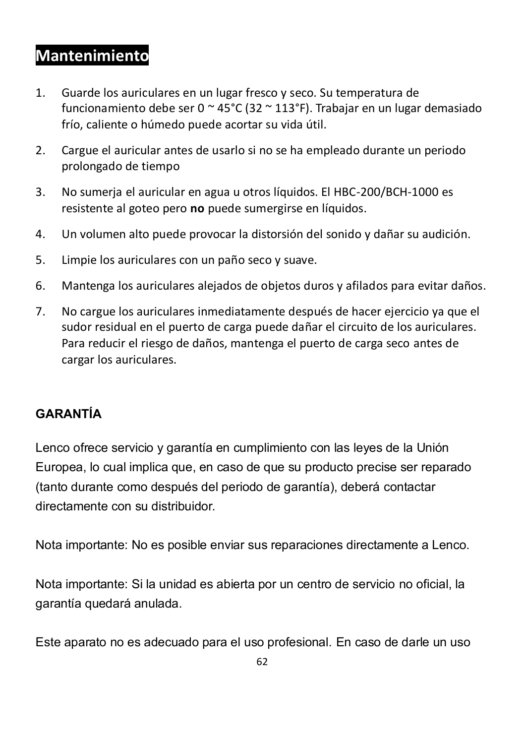### **Mantenimiento**

- 1. Guarde los auriculares en un lugar fresco y seco. Su temperatura de funcionamiento debe ser 0 ~ 45°C (32 ~ 113°F). Trabajar en un lugar demasiado frío, caliente o húmedo puede acortar su vida útil.
- 2. Cargue el auricular antes de usarlo si no se ha empleado durante un periodo prolongado de tiempo
- 3. No sumerja el auricular en agua u otros líquidos. El HBC-200/BCH-1000 es resistente al goteo pero **no** puede sumergirse en líquidos.
- 4. Un volumen alto puede provocar la distorsión del sonido y dañar su audición.
- 5. Limpie los auriculares con un paño seco y suave.
- 6. Mantenga los auriculares alejados de objetos duros y afilados para evitar daños.
- 7. No cargue los auriculares inmediatamente después de hacer ejercicio ya que el sudor residual en el puerto de carga puede dañar el circuito de los auriculares. Para reducir el riesgo de daños, mantenga el puerto de carga seco antes de cargar los auriculares.

### **GARANTÍA**

Lenco ofrece servicio y garantía en cumplimiento con las leyes de la Unión Europea, lo cual implica que, en caso de que su producto precise ser reparado (tanto durante como después del periodo de garantía), deberá contactar directamente con su distribuidor.

Nota importante: No es posible enviar sus reparaciones directamente a Lenco.

Nota importante: Si la unidad es abierta por un centro de servicio no oficial, la garantía quedará anulada.

Este aparato no es adecuado para el uso profesional. En caso de darle un uso